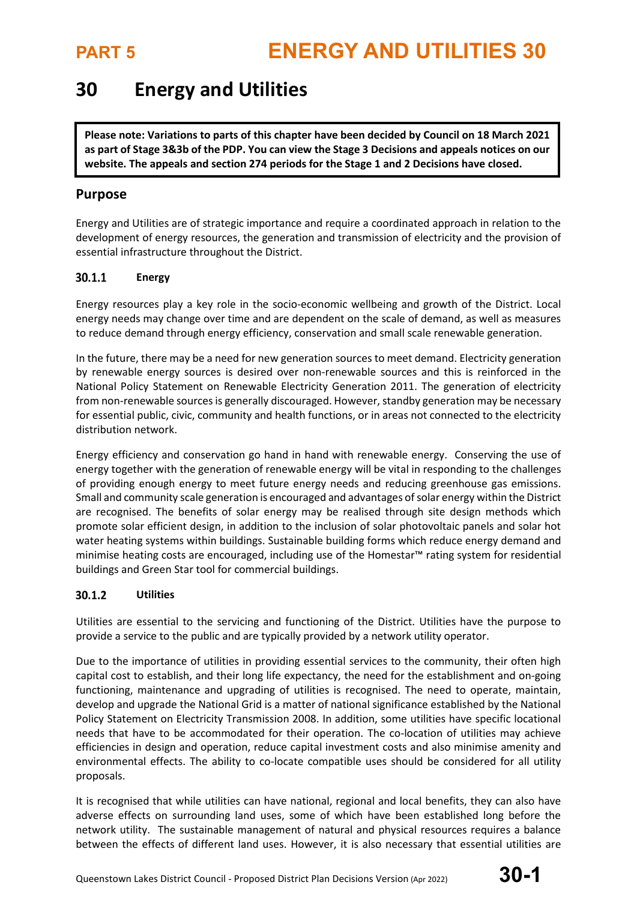## **30 Energy and Utilities**

**Please note: Variations to parts of this chapter have been decided by Council on 18 March 2021 as part of Stage 3&3b of the PDP. You can view the Stage 3 Decisions and appeals notices on our website. The appeals and section 274 periods for the Stage 1 and 2 Decisions have closed.**

### **Purpose**

Energy and Utilities are of strategic importance and require a coordinated approach in relation to the development of energy resources, the generation and transmission of electricity and the provision of essential infrastructure throughout the District.

### $30.1.1$ **Energy**

Energy resources play a key role in the socio-economic wellbeing and growth of the District. Local energy needs may change over time and are dependent on the scale of demand, as well as measures to reduce demand through energy efficiency, conservation and small scale renewable generation.

In the future, there may be a need for new generation sources to meet demand. Electricity generation by renewable energy sources is desired over non-renewable sources and this is reinforced in the National Policy Statement on Renewable Electricity Generation 2011. The generation of electricity from non-renewable sources is generally discouraged. However, standby generation may be necessary for essential public, civic, community and health functions, or in areas not connected to the electricity distribution network.

Energy efficiency and conservation go hand in hand with renewable energy. Conserving the use of energy together with the generation of renewable energy will be vital in responding to the challenges of providing enough energy to meet future energy needs and reducing greenhouse gas emissions. Small and community scale generation is encouraged and advantages of solar energy within the District are recognised. The benefits of solar energy may be realised through site design methods which promote solar efficient design, in addition to the inclusion of solar photovoltaic panels and solar hot water heating systems within buildings. Sustainable building forms which reduce energy demand and minimise heating costs are encouraged, including use of the Homestar™ rating system for residential buildings and Green Star tool for commercial buildings.

### $30.1.2$ **Utilities**

Utilities are essential to the servicing and functioning of the District. Utilities have the purpose to provide a service to the public and are typically provided by a network utility operator.

Due to the importance of utilities in providing essential services to the community, their often high capital cost to establish, and their long life expectancy, the need for the establishment and on-going functioning, maintenance and upgrading of utilities is recognised. The need to operate, maintain, develop and upgrade the National Grid is a matter of national significance established by the National Policy Statement on Electricity Transmission 2008. In addition, some utilities have specific locational needs that have to be accommodated for their operation. The co-location of utilities may achieve efficiencies in design and operation, reduce capital investment costs and also minimise amenity and environmental effects. The ability to co-locate compatible uses should be considered for all utility proposals.

It is recognised that while utilities can have national, regional and local benefits, they can also have adverse effects on surrounding land uses, some of which have been established long before the network utility. The sustainable management of natural and physical resources requires a balance between the effects of different land uses. However, it is also necessary that essential utilities are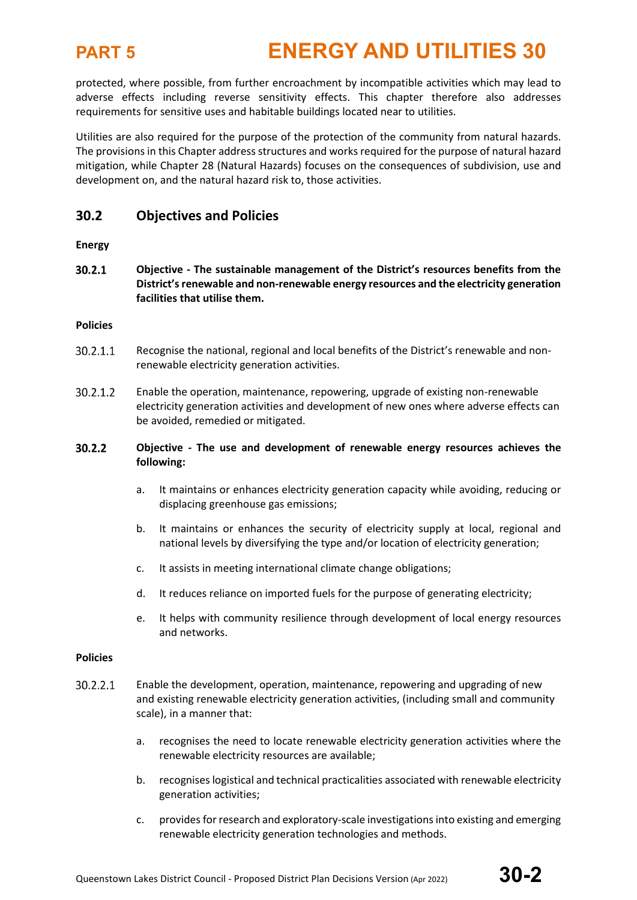protected, where possible, from further encroachment by incompatible activities which may lead to adverse effects including reverse sensitivity effects. This chapter therefore also addresses requirements for sensitive uses and habitable buildings located near to utilities.

Utilities are also required for the purpose of the protection of the community from natural hazards. The provisions in this Chapter address structures and works required for the purpose of natural hazard mitigation, while Chapter 28 (Natural Hazards) focuses on the consequences of subdivision, use and development on, and the natural hazard risk to, those activities.

### **30.2 Objectives and Policies**

### **Energy**

 $30.2.1$ **Objective - The sustainable management of the District's resources benefits from the District's renewable and non-renewable energy resources and the electricity generation facilities that utilise them.**

### **Policies**

- Recognise the national, regional and local benefits of the District's renewable and non-30.2.1.1 renewable electricity generation activities.
- 30.2.1.2 Enable the operation, maintenance, repowering, upgrade of existing non-renewable electricity generation activities and development of new ones where adverse effects can be avoided, remedied or mitigated.

### $30.2.2$ **Objective - The use and development of renewable energy resources achieves the following:**

- a. It maintains or enhances electricity generation capacity while avoiding, reducing or displacing greenhouse gas emissions;
- b. It maintains or enhances the security of electricity supply at local, regional and national levels by diversifying the type and/or location of electricity generation;
- c. It assists in meeting international climate change obligations;
- d. It reduces reliance on imported fuels for the purpose of generating electricity;
- e. It helps with community resilience through development of local energy resources and networks.

### **Policies**

- $30.2.2.1$ Enable the development, operation, maintenance, repowering and upgrading of new and existing renewable electricity generation activities, (including small and community scale), in a manner that:
	- a. recognises the need to locate renewable electricity generation activities where the renewable electricity resources are available;
	- b. recognises logistical and technical practicalities associated with renewable electricity generation activities;
	- c. provides for research and exploratory-scale investigations into existing and emerging renewable electricity generation technologies and methods.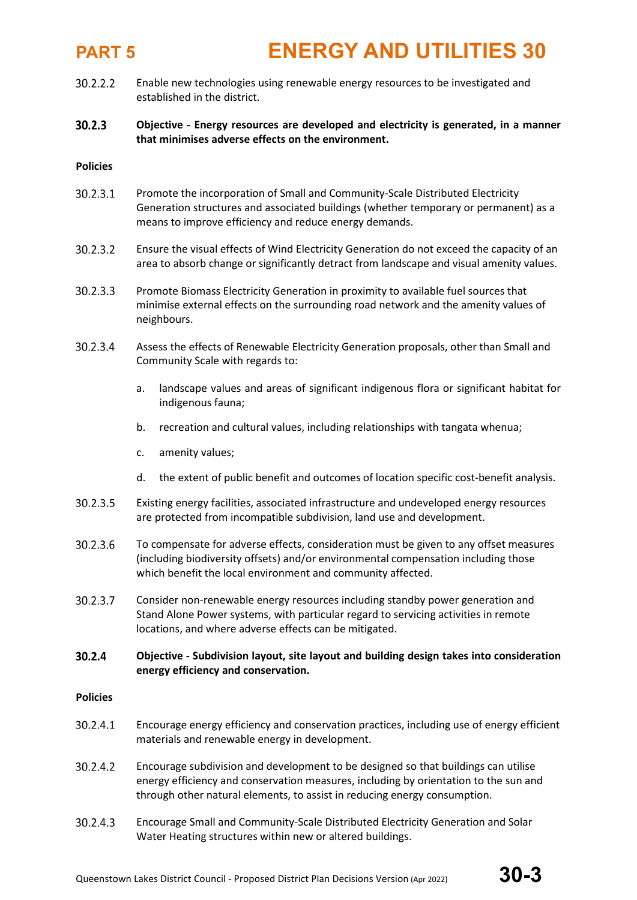30.2.2.2 Enable new technologies using renewable energy resources to be investigated and established in the district.

### $30.2.3$ **Objective - Energy resources are developed and electricity is generated, in a manner that minimises adverse effects on the environment.**

### **Policies**

- 30.2.3.1 Promote the incorporation of Small and Community-Scale Distributed Electricity Generation structures and associated buildings (whether temporary or permanent) as a means to improve efficiency and reduce energy demands.
- 30.2.3.2 Ensure the visual effects of Wind Electricity Generation do not exceed the capacity of an area to absorb change or significantly detract from landscape and visual amenity values.
- $30.2.3.3$ Promote Biomass Electricity Generation in proximity to available fuel sources that minimise external effects on the surrounding road network and the amenity values of neighbours.
- 30.2.3.4 Assess the effects of Renewable Electricity Generation proposals, other than Small and Community Scale with regards to:
	- a. landscape values and areas of significant indigenous flora or significant habitat for indigenous fauna;
	- b. recreation and cultural values, including relationships with tangata whenua;
	- c. amenity values;
	- d. the extent of public benefit and outcomes of location specific cost-benefit analysis.
- 30.2.3.5 Existing energy facilities, associated infrastructure and undeveloped energy resources are protected from incompatible subdivision, land use and development.
- 30.2.3.6 To compensate for adverse effects, consideration must be given to any offset measures (including biodiversity offsets) and/or environmental compensation including those which benefit the local environment and community affected.
- 30.2.3.7 Consider non-renewable energy resources including standby power generation and Stand Alone Power systems, with particular regard to servicing activities in remote locations, and where adverse effects can be mitigated.

### 30.2.4 **Objective - Subdivision layout, site layout and building design takes into consideration energy efficiency and conservation.**

### **Policies**

- 30.2.4.1 Encourage energy efficiency and conservation practices, including use of energy efficient materials and renewable energy in development.
- 30.2.4.2 Encourage subdivision and development to be designed so that buildings can utilise energy efficiency and conservation measures, including by orientation to the sun and through other natural elements, to assist in reducing energy consumption.
- 30.2.4.3 Encourage Small and Community-Scale Distributed Electricity Generation and Solar Water Heating structures within new or altered buildings.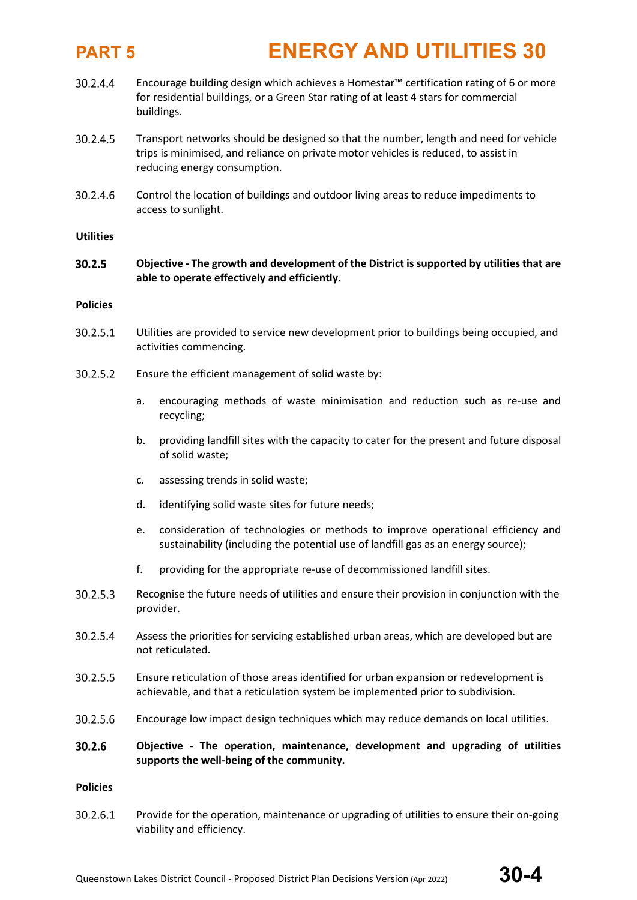- 30.2.4.4 Encourage building design which achieves a Homestar™ certification rating of 6 or more for residential buildings, or a Green Star rating of at least 4 stars for commercial buildings.
- 30.2.4.5 Transport networks should be designed so that the number, length and need for vehicle trips is minimised, and reliance on private motor vehicles is reduced, to assist in reducing energy consumption.
- 30.2.4.6 Control the location of buildings and outdoor living areas to reduce impediments to access to sunlight.

### **Utilities**

30.2.5 **Objective - The growth and development of the District is supported by utilities that are able to operate effectively and efficiently.**

### **Policies**

- 30.2.5.1 Utilities are provided to service new development prior to buildings being occupied, and activities commencing.
- 30.2.5.2 Ensure the efficient management of solid waste by:
	- a. encouraging methods of waste minimisation and reduction such as re-use and recycling;
	- b. providing landfill sites with the capacity to cater for the present and future disposal of solid waste;
	- c. assessing trends in solid waste;
	- d. identifying solid waste sites for future needs;
	- e. consideration of technologies or methods to improve operational efficiency and sustainability (including the potential use of landfill gas as an energy source);
	- f. providing for the appropriate re-use of decommissioned landfill sites.
- 30.2.5.3 Recognise the future needs of utilities and ensure their provision in conjunction with the provider.
- 30.2.5.4 Assess the priorities for servicing established urban areas, which are developed but are not reticulated.
- 30.2.5.5 Ensure reticulation of those areas identified for urban expansion or redevelopment is achievable, and that a reticulation system be implemented prior to subdivision.
- 30.2.5.6 Encourage low impact design techniques which may reduce demands on local utilities.
- 30.2.6 **Objective - The operation, maintenance, development and upgrading of utilities supports the well-being of the community.**

### **Policies**

30.2.6.1 Provide for the operation, maintenance or upgrading of utilities to ensure their on-going viability and efficiency.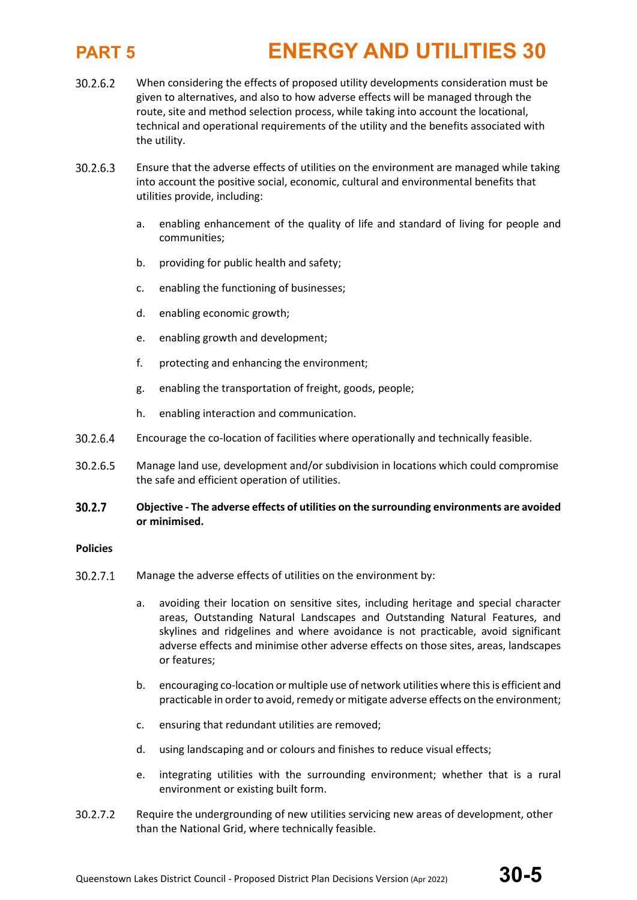- 30.2.6.2 When considering the effects of proposed utility developments consideration must be given to alternatives, and also to how adverse effects will be managed through the route, site and method selection process, while taking into account the locational, technical and operational requirements of the utility and the benefits associated with the utility.
- 30.2.6.3 Ensure that the adverse effects of utilities on the environment are managed while taking into account the positive social, economic, cultural and environmental benefits that utilities provide, including:
	- a. enabling enhancement of the quality of life and standard of living for people and communities;
	- b. providing for public health and safety;
	- c. enabling the functioning of businesses;
	- d. enabling economic growth;
	- e. enabling growth and development;
	- f. protecting and enhancing the environment;
	- g. enabling the transportation of freight, goods, people;
	- h. enabling interaction and communication.
- 30.2.6.4 Encourage the co-location of facilities where operationally and technically feasible.
- 30.2.6.5 Manage land use, development and/or subdivision in locations which could compromise the safe and efficient operation of utilities.

### $30.2.7$ **Objective - The adverse effects of utilities on the surrounding environments are avoided or minimised.**

### **Policies**

- 30.2.7.1 Manage the adverse effects of utilities on the environment by:
	- a. avoiding their location on sensitive sites, including heritage and special character areas, Outstanding Natural Landscapes and Outstanding Natural Features, and skylines and ridgelines and where avoidance is not practicable, avoid significant adverse effects and minimise other adverse effects on those sites, areas, landscapes or features;
	- b. encouraging co-location or multiple use of network utilities where this is efficient and practicable in order to avoid, remedy or mitigate adverse effects on the environment;
	- c. ensuring that redundant utilities are removed;
	- d. using landscaping and or colours and finishes to reduce visual effects;
	- e. integrating utilities with the surrounding environment; whether that is a rural environment or existing built form.
- 30.2.7.2 Require the undergrounding of new utilities servicing new areas of development, other than the National Grid, where technically feasible.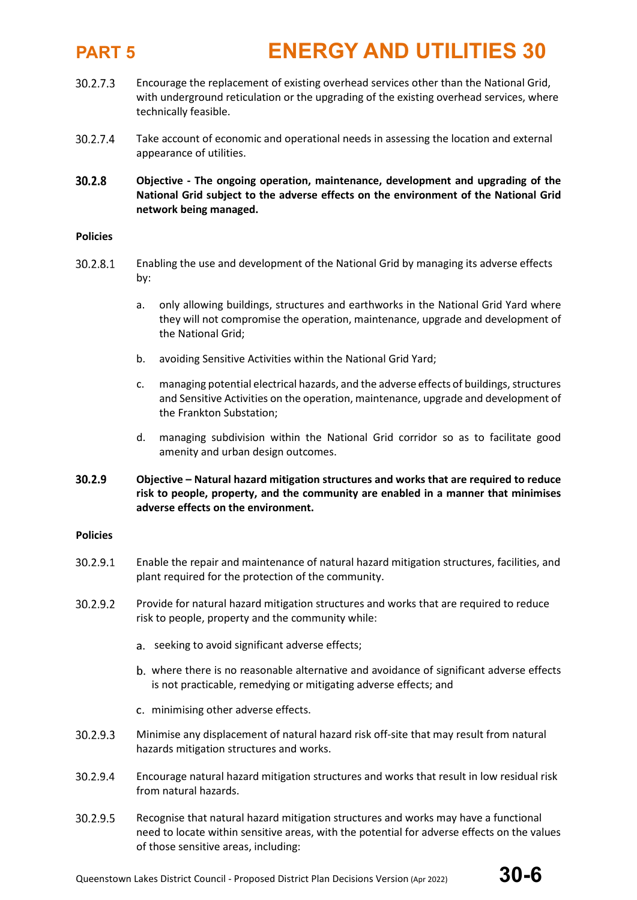- 30.2.7.3 Encourage the replacement of existing overhead services other than the National Grid, with underground reticulation or the upgrading of the existing overhead services, where technically feasible.
- 30.2.7.4 Take account of economic and operational needs in assessing the location and external appearance of utilities.
- $30.2.8$ **Objective - The ongoing operation, maintenance, development and upgrading of the National Grid subject to the adverse effects on the environment of the National Grid network being managed.**

### **Policies**

- 30.2.8.1 Enabling the use and development of the National Grid by managing its adverse effects by:
	- a. only allowing buildings, structures and earthworks in the National Grid Yard where they will not compromise the operation, maintenance, upgrade and development of the National Grid;
	- b. avoiding Sensitive Activities within the National Grid Yard;
	- c. managing potential electrical hazards, and the adverse effects of buildings, structures and Sensitive Activities on the operation, maintenance, upgrade and development of the Frankton Substation;
	- d. managing subdivision within the National Grid corridor so as to facilitate good amenity and urban design outcomes.
- $30.2.9$ **Objective – Natural hazard mitigation structures and works that are required to reduce risk to people, property, and the community are enabled in a manner that minimises adverse effects on the environment.**

### **Policies**

- 30.2.9.1 Enable the repair and maintenance of natural hazard mitigation structures, facilities, and plant required for the protection of the community.
- 30.2.9.2 Provide for natural hazard mitigation structures and works that are required to reduce risk to people, property and the community while:
	- a. seeking to avoid significant adverse effects;
	- where there is no reasonable alternative and avoidance of significant adverse effects is not practicable, remedying or mitigating adverse effects; and
	- c. minimising other adverse effects.
- 30.2.9.3 Minimise any displacement of natural hazard risk off-site that may result from natural hazards mitigation structures and works.
- 30.2.9.4 Encourage natural hazard mitigation structures and works that result in low residual risk from natural hazards.
- 30.2.9.5 Recognise that natural hazard mitigation structures and works may have a functional need to locate within sensitive areas, with the potential for adverse effects on the values of those sensitive areas, including: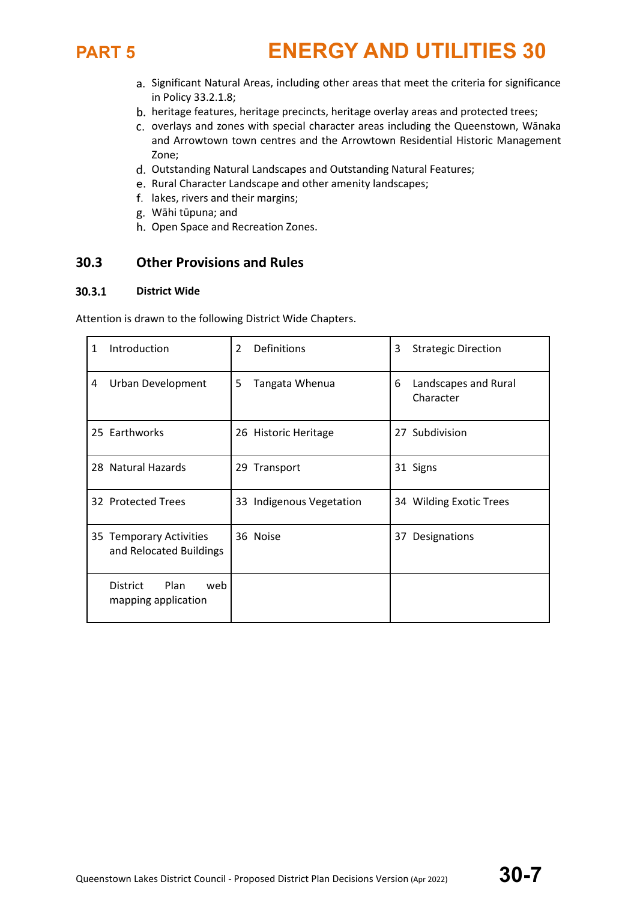

- a. Significant Natural Areas, including other areas that meet the criteria for significance in Policy 33.2.1.8;
- b. heritage features, heritage precincts, heritage overlay areas and protected trees;
- c. overlays and zones with special character areas including the Queenstown, Wānaka and Arrowtown town centres and the Arrowtown Residential Historic Management Zone;
- d. Outstanding Natural Landscapes and Outstanding Natural Features;
- e. Rural Character Landscape and other amenity landscapes;
- f. lakes, rivers and their margins;
- Wāhi tūpuna; and
- h. Open Space and Recreation Zones.

### **30.3 Other Provisions and Rules**

### $30.3.1$ **District Wide**

Attention is drawn to the following District Wide Chapters.

| 1 | Introduction                                          | Definitions<br>$\overline{2}$ | 3<br><b>Strategic Direction</b>        |
|---|-------------------------------------------------------|-------------------------------|----------------------------------------|
| 4 | Urban Development                                     | 5<br>Tangata Whenua           | 6<br>Landscapes and Rural<br>Character |
|   | 25 Earthworks                                         | 26 Historic Heritage          | 27 Subdivision                         |
|   | 28 Natural Hazards                                    | Transport<br>29               | 31 Signs                               |
|   | 32 Protected Trees                                    | 33 Indigenous Vegetation      | 34 Wilding Exotic Trees                |
|   | 35 Temporary Activities<br>and Relocated Buildings    | 36 Noise                      | Designations<br>37                     |
|   | Plan<br>web<br><b>District</b><br>mapping application |                               |                                        |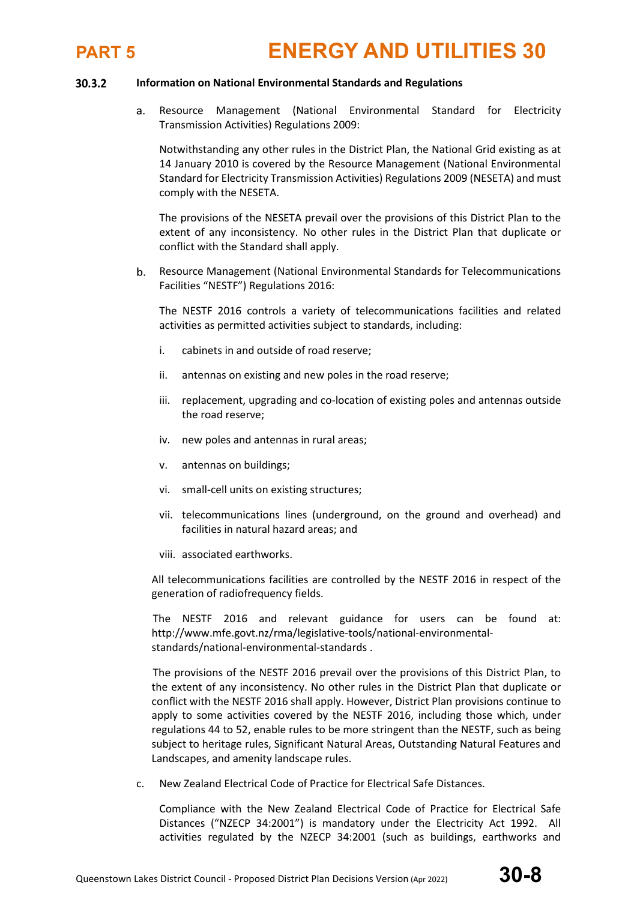

### $30.3.2$ **Information on National Environmental Standards and Regulations**

Resource Management (National Environmental Standard for Electricity  $a<sub>1</sub>$ Transmission Activities) Regulations 2009:

Notwithstanding any other rules in the District Plan, the National Grid existing as at 14 January 2010 is covered by the Resource Management (National Environmental Standard for Electricity Transmission Activities) Regulations 2009 (NESETA) and must comply with the NESETA.

The provisions of the NESETA prevail over the provisions of this District Plan to the extent of any inconsistency. No other rules in the District Plan that duplicate or conflict with the Standard shall apply.

b. Resource Management (National Environmental Standards for Telecommunications Facilities "NESTF") Regulations 2016:

The NESTF 2016 controls a variety of telecommunications facilities and related activities as permitted activities subject to standards, including:

- i. cabinets in and outside of road reserve;
- ii. antennas on existing and new poles in the road reserve;
- iii. replacement, upgrading and co-location of existing poles and antennas outside the road reserve;
- iv. new poles and antennas in rural areas;
- v. antennas on buildings;
- vi. small-cell units on existing structures;
- vii. telecommunications lines (underground, on the ground and overhead) and facilities in natural hazard areas; and
- viii. associated earthworks.

All telecommunications facilities are controlled by the NESTF 2016 in respect of the generation of radiofrequency fields.

The NESTF 2016 and relevant guidance for users can be found at: http://www.mfe.govt.nz/rma/legislative-tools/national-environmentalstandards/national-environmental-standards .

The provisions of the NESTF 2016 prevail over the provisions of this District Plan, to the extent of any inconsistency. No other rules in the District Plan that duplicate or conflict with the NESTF 2016 shall apply. However, District Plan provisions continue to apply to some activities covered by the NESTF 2016, including those which, under regulations 44 to 52, enable rules to be more stringent than the NESTF, such as being subject to heritage rules, Significant Natural Areas, Outstanding Natural Features and Landscapes, and amenity landscape rules.

c. New Zealand Electrical Code of Practice for Electrical Safe Distances.

Compliance with the New Zealand Electrical Code of Practice for Electrical Safe Distances ("NZECP 34:2001") is mandatory under the Electricity Act 1992. All activities regulated by the NZECP 34:2001 (such as buildings, earthworks and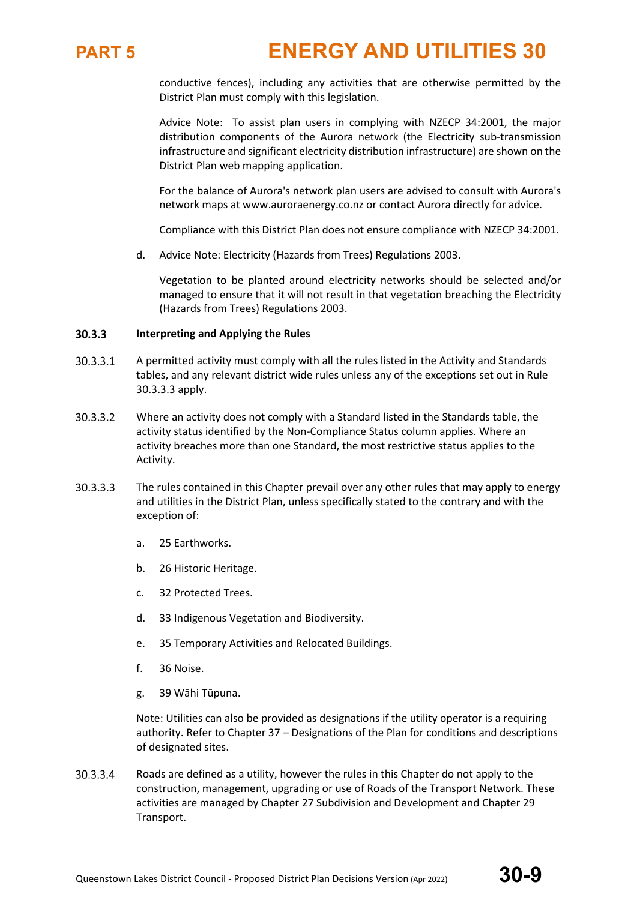

conductive fences), including any activities that are otherwise permitted by the District Plan must comply with this legislation.

Advice Note: To assist plan users in complying with NZECP 34:2001, the major distribution components of the Aurora network (the Electricity sub-transmission infrastructure and significant electricity distribution infrastructure) are shown on the District Plan web mapping application.

For the balance of Aurora's network plan users are advised to consult with Aurora's network maps at www.auroraenergy.co.nz or contact Aurora directly for advice.

Compliance with this District Plan does not ensure compliance with NZECP 34:2001.

d. Advice Note: Electricity (Hazards from Trees) Regulations 2003.

Vegetation to be planted around electricity networks should be selected and/or managed to ensure that it will not result in that vegetation breaching the Electricity (Hazards from Trees) Regulations 2003.

### $30.3.3$ **Interpreting and Applying the Rules**

- 30.3.3.1 A permitted activity must comply with all the rules listed in the Activity and Standards tables, and any relevant district wide rules unless any of the exceptions set out in Rule 30.3.3.3 apply.
- 30.3.3.2 Where an activity does not comply with a Standard listed in the Standards table, the activity status identified by the Non-Compliance Status column applies. Where an activity breaches more than one Standard, the most restrictive status applies to the Activity.
- 30.3.3.3 The rules contained in this Chapter prevail over any other rules that may apply to energy and utilities in the District Plan, unless specifically stated to the contrary and with the exception of:
	- a. 25 Earthworks.
	- b. 26 Historic Heritage.
	- c. 32 Protected Trees.
	- d. 33 Indigenous Vegetation and Biodiversity.
	- e. 35 Temporary Activities and Relocated Buildings.
	- f. 36 Noise.
	- g. 39 Wāhi Tūpuna.

Note: Utilities can also be provided as designations if the utility operator is a requiring authority. Refer to Chapter 37 – Designations of the Plan for conditions and descriptions of designated sites.

30.3.3.4 Roads are defined as a utility, however the rules in this Chapter do not apply to the construction, management, upgrading or use of Roads of the Transport Network. These activities are managed by Chapter 27 Subdivision and Development and Chapter 29 Transport.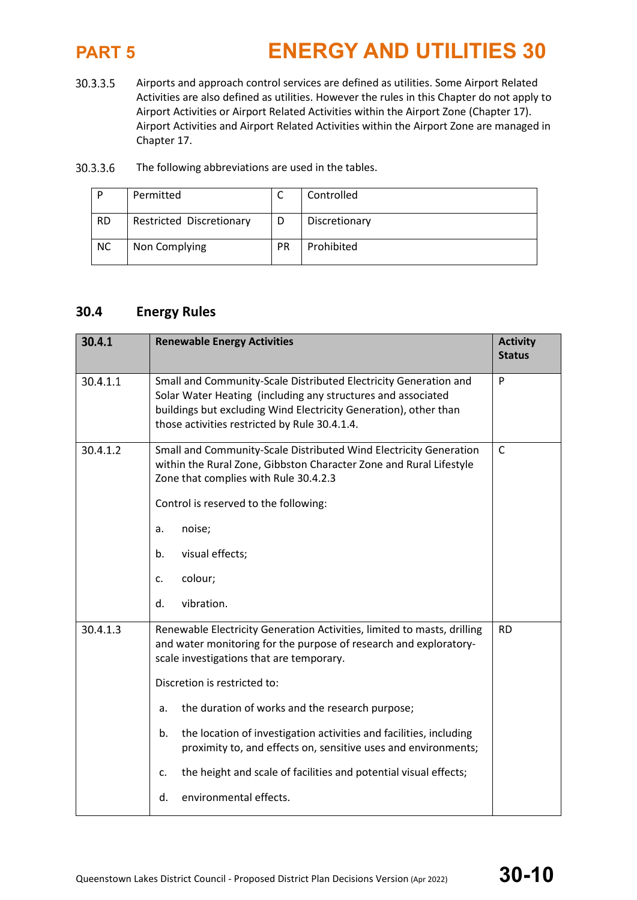30.3.3.5 Airports and approach control services are defined as utilities. Some Airport Related Activities are also defined as utilities. However the rules in this Chapter do not apply to Airport Activities or Airport Related Activities within the Airport Zone (Chapter 17). Airport Activities and Airport Related Activities within the Airport Zone are managed in Chapter 17.

| 30.3.3.6 | The following abbreviations are used in the tables. |
|----------|-----------------------------------------------------|
|----------|-----------------------------------------------------|

| P         | Permitted                |    | Controlled    |
|-----------|--------------------------|----|---------------|
| <b>RD</b> | Restricted Discretionary | D  | Discretionary |
| <b>NC</b> | Non Complying            | PR | Prohibited    |

## **30.4 Energy Rules**

| 30.4.1   | <b>Renewable Energy Activities</b>                                                                                                                                                                                                                                                                                                                                                                                                                                                                                                        | <b>Activity</b><br><b>Status</b> |
|----------|-------------------------------------------------------------------------------------------------------------------------------------------------------------------------------------------------------------------------------------------------------------------------------------------------------------------------------------------------------------------------------------------------------------------------------------------------------------------------------------------------------------------------------------------|----------------------------------|
| 30.4.1.1 | Small and Community-Scale Distributed Electricity Generation and<br>Solar Water Heating (including any structures and associated<br>buildings but excluding Wind Electricity Generation), other than<br>those activities restricted by Rule 30.4.1.4.                                                                                                                                                                                                                                                                                     | P                                |
| 30.4.1.2 | Small and Community-Scale Distributed Wind Electricity Generation<br>within the Rural Zone, Gibbston Character Zone and Rural Lifestyle<br>Zone that complies with Rule 30.4.2.3<br>Control is reserved to the following:<br>noise;<br>a.<br>visual effects;<br>b.<br>colour;<br>c.<br>vibration.<br>d.                                                                                                                                                                                                                                   | $\mathsf{C}$                     |
| 30.4.1.3 | Renewable Electricity Generation Activities, limited to masts, drilling<br>and water monitoring for the purpose of research and exploratory-<br>scale investigations that are temporary.<br>Discretion is restricted to:<br>the duration of works and the research purpose;<br>a.<br>the location of investigation activities and facilities, including<br>b.<br>proximity to, and effects on, sensitive uses and environments;<br>the height and scale of facilities and potential visual effects;<br>c.<br>environmental effects.<br>d. | <b>RD</b>                        |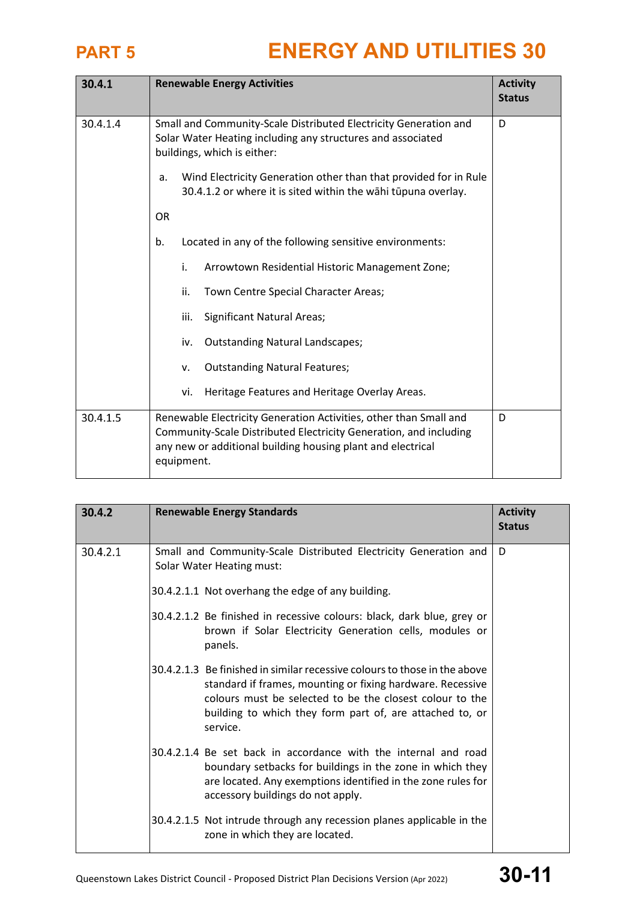| 30.4.1   | <b>Renewable Energy Activities</b>                                                                                                                                                                                  | <b>Activity</b><br><b>Status</b> |
|----------|---------------------------------------------------------------------------------------------------------------------------------------------------------------------------------------------------------------------|----------------------------------|
| 30.4.1.4 | Small and Community-Scale Distributed Electricity Generation and<br>Solar Water Heating including any structures and associated<br>buildings, which is either:                                                      | D                                |
|          | Wind Electricity Generation other than that provided for in Rule<br>a.<br>30.4.1.2 or where it is sited within the wāhi tūpuna overlay.                                                                             |                                  |
|          | <b>OR</b>                                                                                                                                                                                                           |                                  |
|          | Located in any of the following sensitive environments:<br>b.                                                                                                                                                       |                                  |
|          | i.<br>Arrowtown Residential Historic Management Zone;                                                                                                                                                               |                                  |
|          | ii.<br>Town Centre Special Character Areas;                                                                                                                                                                         |                                  |
|          | <b>Significant Natural Areas;</b><br>iii.                                                                                                                                                                           |                                  |
|          | <b>Outstanding Natural Landscapes;</b><br>iv.                                                                                                                                                                       |                                  |
|          | <b>Outstanding Natural Features;</b><br>v.                                                                                                                                                                          |                                  |
|          | Heritage Features and Heritage Overlay Areas.<br>vi.                                                                                                                                                                |                                  |
| 30.4.1.5 | Renewable Electricity Generation Activities, other than Small and<br>Community-Scale Distributed Electricity Generation, and including<br>any new or additional building housing plant and electrical<br>equipment. | D                                |

| 30.4.2   | <b>Renewable Energy Standards</b>                                                                                                                                                                                                                                           | <b>Activity</b><br><b>Status</b> |
|----------|-----------------------------------------------------------------------------------------------------------------------------------------------------------------------------------------------------------------------------------------------------------------------------|----------------------------------|
| 30.4.2.1 | Small and Community-Scale Distributed Electricity Generation and<br>Solar Water Heating must:                                                                                                                                                                               | D                                |
|          | 30.4.2.1.1 Not overhang the edge of any building.                                                                                                                                                                                                                           |                                  |
|          | 30.4.2.1.2 Be finished in recessive colours: black, dark blue, grey or<br>brown if Solar Electricity Generation cells, modules or<br>panels.                                                                                                                                |                                  |
|          | 30.4.2.1.3 Be finished in similar recessive colours to those in the above<br>standard if frames, mounting or fixing hardware. Recessive<br>colours must be selected to be the closest colour to the<br>building to which they form part of, are attached to, or<br>service. |                                  |
|          | 30.4.2.1.4 Be set back in accordance with the internal and road<br>boundary setbacks for buildings in the zone in which they<br>are located. Any exemptions identified in the zone rules for<br>accessory buildings do not apply.                                           |                                  |
|          | 30.4.2.1.5 Not intrude through any recession planes applicable in the<br>zone in which they are located.                                                                                                                                                                    |                                  |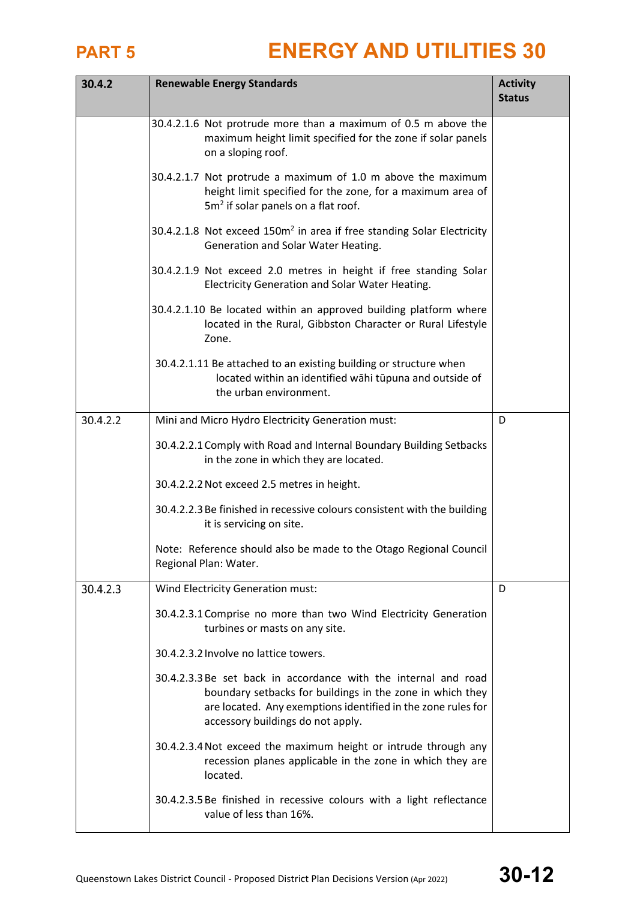| 30.4.2   | <b>Renewable Energy Standards</b>                                                                                                                                                                                                 | <b>Activity</b><br><b>Status</b> |
|----------|-----------------------------------------------------------------------------------------------------------------------------------------------------------------------------------------------------------------------------------|----------------------------------|
|          | 30.4.2.1.6 Not protrude more than a maximum of 0.5 m above the<br>maximum height limit specified for the zone if solar panels<br>on a sloping roof.                                                                               |                                  |
|          | 30.4.2.1.7 Not protrude a maximum of 1.0 m above the maximum<br>height limit specified for the zone, for a maximum area of<br>$5m2$ if solar panels on a flat roof.                                                               |                                  |
|          | 30.4.2.1.8 Not exceed 150m <sup>2</sup> in area if free standing Solar Electricity<br>Generation and Solar Water Heating.                                                                                                         |                                  |
|          | 30.4.2.1.9 Not exceed 2.0 metres in height if free standing Solar<br>Electricity Generation and Solar Water Heating.                                                                                                              |                                  |
|          | 30.4.2.1.10 Be located within an approved building platform where<br>located in the Rural, Gibbston Character or Rural Lifestyle<br>Zone.                                                                                         |                                  |
|          | 30.4.2.1.11 Be attached to an existing building or structure when<br>located within an identified wāhi tūpuna and outside of<br>the urban environment.                                                                            |                                  |
| 30.4.2.2 | Mini and Micro Hydro Electricity Generation must:                                                                                                                                                                                 | D                                |
|          | 30.4.2.2.1 Comply with Road and Internal Boundary Building Setbacks<br>in the zone in which they are located.                                                                                                                     |                                  |
|          | 30.4.2.2.2 Not exceed 2.5 metres in height.                                                                                                                                                                                       |                                  |
|          | 30.4.2.2.3 Be finished in recessive colours consistent with the building<br>it is servicing on site.                                                                                                                              |                                  |
|          | Note: Reference should also be made to the Otago Regional Council<br>Regional Plan: Water.                                                                                                                                        |                                  |
| 30.4.2.3 | Wind Electricity Generation must:                                                                                                                                                                                                 | D                                |
|          | 30.4.2.3.1 Comprise no more than two Wind Electricity Generation<br>turbines or masts on any site.                                                                                                                                |                                  |
|          | 30.4.2.3.2 Involve no lattice towers.                                                                                                                                                                                             |                                  |
|          | 30.4.2.3.3 Be set back in accordance with the internal and road<br>boundary setbacks for buildings in the zone in which they<br>are located. Any exemptions identified in the zone rules for<br>accessory buildings do not apply. |                                  |
|          | 30.4.2.3.4 Not exceed the maximum height or intrude through any<br>recession planes applicable in the zone in which they are<br>located.                                                                                          |                                  |
|          | 30.4.2.3.5 Be finished in recessive colours with a light reflectance<br>value of less than 16%.                                                                                                                                   |                                  |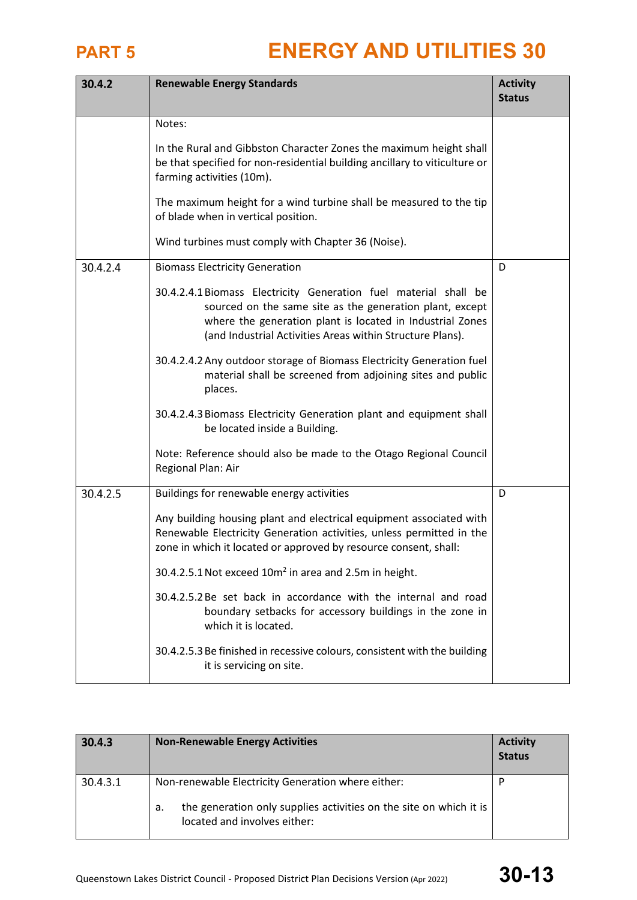| 30.4.2   | <b>Renewable Energy Standards</b>                                                                                                                                                                                                                      | <b>Activity</b><br><b>Status</b> |
|----------|--------------------------------------------------------------------------------------------------------------------------------------------------------------------------------------------------------------------------------------------------------|----------------------------------|
|          | Notes:                                                                                                                                                                                                                                                 |                                  |
|          | In the Rural and Gibbston Character Zones the maximum height shall<br>be that specified for non-residential building ancillary to viticulture or<br>farming activities (10m).                                                                          |                                  |
|          | The maximum height for a wind turbine shall be measured to the tip<br>of blade when in vertical position.                                                                                                                                              |                                  |
|          | Wind turbines must comply with Chapter 36 (Noise).                                                                                                                                                                                                     |                                  |
| 30.4.2.4 | <b>Biomass Electricity Generation</b>                                                                                                                                                                                                                  | D                                |
|          | 30.4.2.4.1 Biomass Electricity Generation fuel material shall be<br>sourced on the same site as the generation plant, except<br>where the generation plant is located in Industrial Zones<br>(and Industrial Activities Areas within Structure Plans). |                                  |
|          | 30.4.2.4.2 Any outdoor storage of Biomass Electricity Generation fuel<br>material shall be screened from adjoining sites and public<br>places.                                                                                                         |                                  |
|          | 30.4.2.4.3 Biomass Electricity Generation plant and equipment shall<br>be located inside a Building.                                                                                                                                                   |                                  |
|          | Note: Reference should also be made to the Otago Regional Council<br>Regional Plan: Air                                                                                                                                                                |                                  |
| 30.4.2.5 | Buildings for renewable energy activities                                                                                                                                                                                                              | D                                |
|          | Any building housing plant and electrical equipment associated with<br>Renewable Electricity Generation activities, unless permitted in the<br>zone in which it located or approved by resource consent, shall:                                        |                                  |
|          | 30.4.2.5.1 Not exceed 10m <sup>2</sup> in area and 2.5m in height.                                                                                                                                                                                     |                                  |
|          | 30.4.2.5.2 Be set back in accordance with the internal and road<br>boundary setbacks for accessory buildings in the zone in<br>which it is located.                                                                                                    |                                  |
|          | 30.4.2.5.3 Be finished in recessive colours, consistent with the building<br>it is servicing on site.                                                                                                                                                  |                                  |

| 30.4.3   | <b>Non-Renewable Energy Activities</b>                                                                                                                         | <b>Activity</b><br><b>Status</b> |
|----------|----------------------------------------------------------------------------------------------------------------------------------------------------------------|----------------------------------|
| 30.4.3.1 | Non-renewable Electricity Generation where either:<br>the generation only supplies activities on the site on which it is<br>а.<br>located and involves either: | P                                |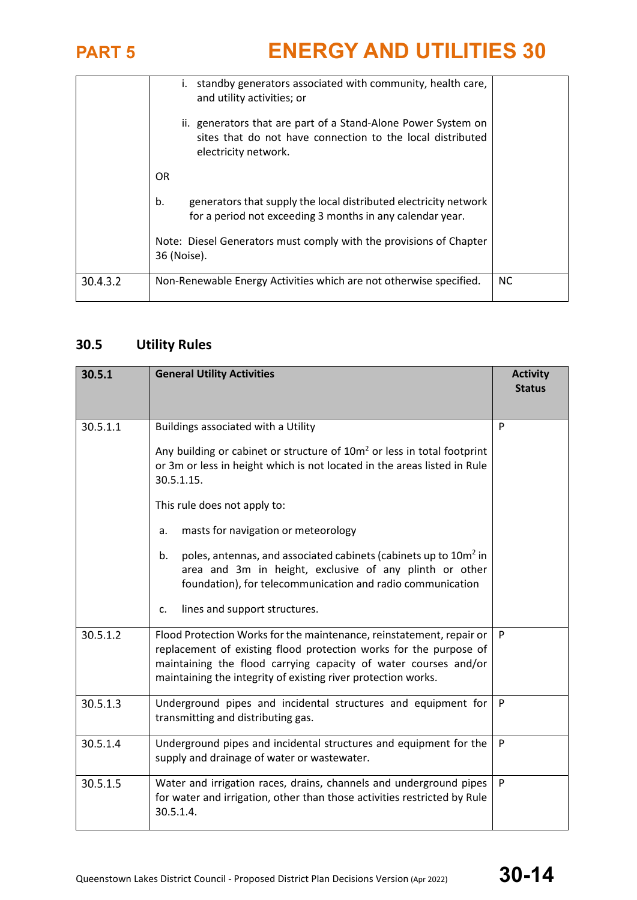|          | standby generators associated with community, health care,<br>i.<br>and utility activities; or<br>ii. generators that are part of a Stand-Alone Power System on<br>sites that do not have connection to the local distributed<br>electricity network. |     |
|----------|-------------------------------------------------------------------------------------------------------------------------------------------------------------------------------------------------------------------------------------------------------|-----|
|          | OR.                                                                                                                                                                                                                                                   |     |
|          | b.<br>generators that supply the local distributed electricity network<br>for a period not exceeding 3 months in any calendar year.                                                                                                                   |     |
|          | Note: Diesel Generators must comply with the provisions of Chapter<br>36 (Noise).                                                                                                                                                                     |     |
| 30.4.3.2 | Non-Renewable Energy Activities which are not otherwise specified.                                                                                                                                                                                    | NC. |

## **30.5 Utility Rules**

| 30.5.1   | <b>General Utility Activities</b>                                                                                                                                                                                                                                             | <b>Activity</b><br><b>Status</b> |
|----------|-------------------------------------------------------------------------------------------------------------------------------------------------------------------------------------------------------------------------------------------------------------------------------|----------------------------------|
| 30.5.1.1 | Buildings associated with a Utility                                                                                                                                                                                                                                           | P                                |
|          | Any building or cabinet or structure of $10m2$ or less in total footprint<br>or 3m or less in height which is not located in the areas listed in Rule<br>30.5.1.15.                                                                                                           |                                  |
|          | This rule does not apply to:                                                                                                                                                                                                                                                  |                                  |
|          | masts for navigation or meteorology<br>a.                                                                                                                                                                                                                                     |                                  |
|          | poles, antennas, and associated cabinets (cabinets up to 10m <sup>2</sup> in<br>$b_{1}$<br>area and 3m in height, exclusive of any plinth or other<br>foundation), for telecommunication and radio communication                                                              |                                  |
|          | lines and support structures.<br>$\mathsf{C}$ .                                                                                                                                                                                                                               |                                  |
| 30.5.1.2 | Flood Protection Works for the maintenance, reinstatement, repair or<br>replacement of existing flood protection works for the purpose of<br>maintaining the flood carrying capacity of water courses and/or<br>maintaining the integrity of existing river protection works. | P                                |
| 30.5.1.3 | Underground pipes and incidental structures and equipment for<br>transmitting and distributing gas.                                                                                                                                                                           | P                                |
| 30.5.1.4 | Underground pipes and incidental structures and equipment for the<br>supply and drainage of water or wastewater.                                                                                                                                                              | P                                |
| 30.5.1.5 | Water and irrigation races, drains, channels and underground pipes<br>for water and irrigation, other than those activities restricted by Rule<br>30.5.1.4.                                                                                                                   | P                                |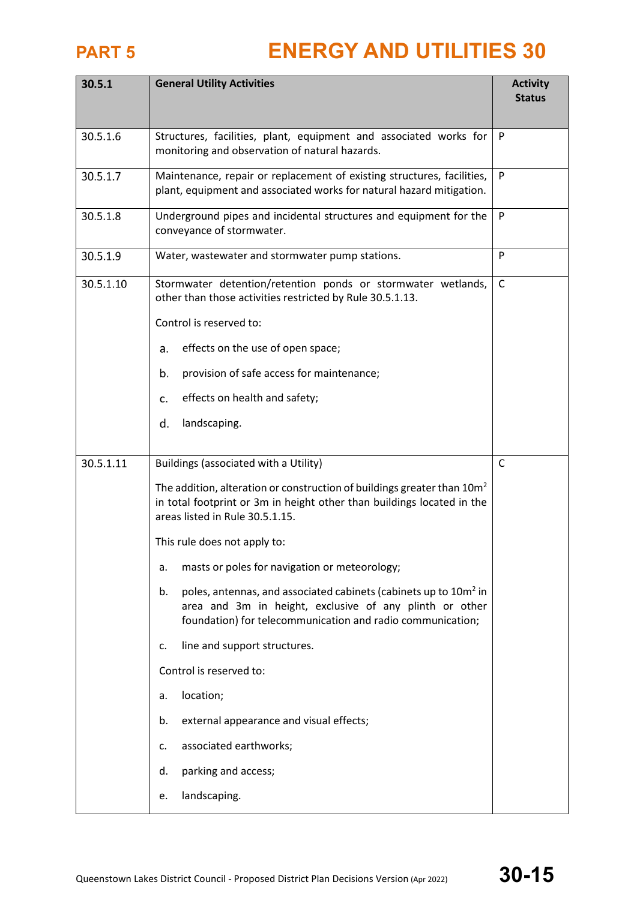| 30.5.1    | <b>General Utility Activities</b>                                                                                                                                                                           | <b>Activity</b><br><b>Status</b> |
|-----------|-------------------------------------------------------------------------------------------------------------------------------------------------------------------------------------------------------------|----------------------------------|
| 30.5.1.6  | Structures, facilities, plant, equipment and associated works for<br>monitoring and observation of natural hazards.                                                                                         | P                                |
| 30.5.1.7  | Maintenance, repair or replacement of existing structures, facilities,<br>plant, equipment and associated works for natural hazard mitigation.                                                              | P                                |
| 30.5.1.8  | Underground pipes and incidental structures and equipment for the<br>conveyance of stormwater.                                                                                                              | P                                |
| 30.5.1.9  | Water, wastewater and stormwater pump stations.                                                                                                                                                             | P                                |
| 30.5.1.10 | Stormwater detention/retention ponds or stormwater wetlands,<br>other than those activities restricted by Rule 30.5.1.13.<br>Control is reserved to:                                                        | C                                |
|           | effects on the use of open space;<br>a.                                                                                                                                                                     |                                  |
|           | provision of safe access for maintenance;<br>b.                                                                                                                                                             |                                  |
|           | effects on health and safety;<br>c.                                                                                                                                                                         |                                  |
|           | d.<br>landscaping.                                                                                                                                                                                          |                                  |
| 30.5.1.11 | Buildings (associated with a Utility)                                                                                                                                                                       | $\mathsf{C}$                     |
|           | The addition, alteration or construction of buildings greater than $10m^2$<br>in total footprint or 3m in height other than buildings located in the<br>areas listed in Rule 30.5.1.15.                     |                                  |
|           | This rule does not apply to:                                                                                                                                                                                |                                  |
|           | masts or poles for navigation or meteorology;<br>a.                                                                                                                                                         |                                  |
|           | poles, antennas, and associated cabinets (cabinets up to 10m <sup>2</sup> in<br>b.<br>area and 3m in height, exclusive of any plinth or other<br>foundation) for telecommunication and radio communication; |                                  |
|           | line and support structures.<br>c.                                                                                                                                                                          |                                  |
|           | Control is reserved to:                                                                                                                                                                                     |                                  |
|           | location;<br>a.                                                                                                                                                                                             |                                  |
|           | external appearance and visual effects;<br>b.                                                                                                                                                               |                                  |
|           | associated earthworks;<br>c.                                                                                                                                                                                |                                  |
|           | parking and access;<br>d.                                                                                                                                                                                   |                                  |
|           | landscaping.<br>e.                                                                                                                                                                                          |                                  |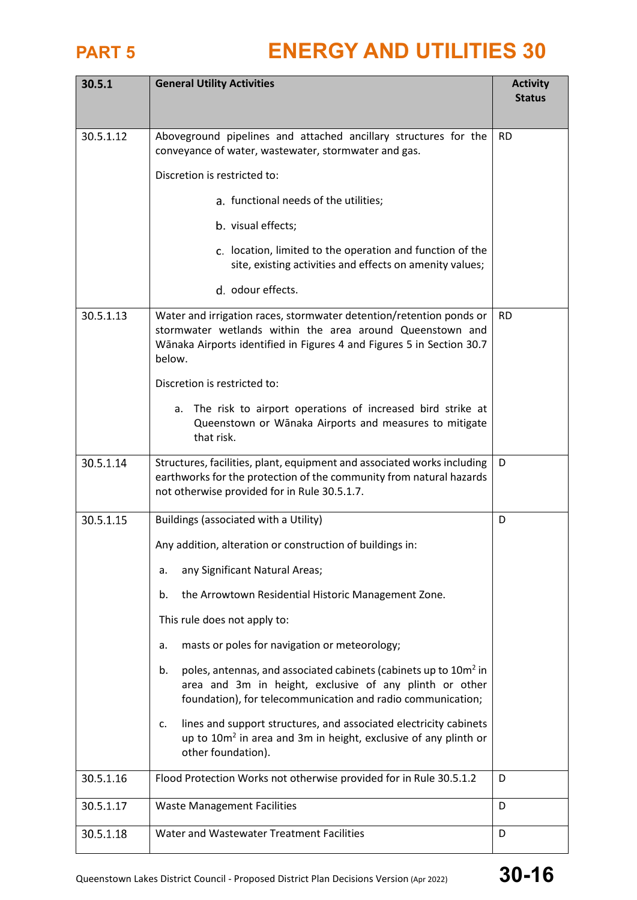| 30.5.1    | <b>General Utility Activities</b>                                                                                                                                                                                   | <b>Activity</b><br><b>Status</b> |
|-----------|---------------------------------------------------------------------------------------------------------------------------------------------------------------------------------------------------------------------|----------------------------------|
| 30.5.1.12 | Aboveground pipelines and attached ancillary structures for the<br>conveyance of water, wastewater, stormwater and gas.                                                                                             | <b>RD</b>                        |
|           | Discretion is restricted to:                                                                                                                                                                                        |                                  |
|           | a. functional needs of the utilities;                                                                                                                                                                               |                                  |
|           | b. visual effects;                                                                                                                                                                                                  |                                  |
|           | c. location, limited to the operation and function of the<br>site, existing activities and effects on amenity values;                                                                                               |                                  |
|           | d. odour effects.                                                                                                                                                                                                   |                                  |
| 30.5.1.13 | Water and irrigation races, stormwater detention/retention ponds or<br>stormwater wetlands within the area around Queenstown and<br>Wānaka Airports identified in Figures 4 and Figures 5 in Section 30.7<br>below. | <b>RD</b>                        |
|           | Discretion is restricted to:                                                                                                                                                                                        |                                  |
|           | a. The risk to airport operations of increased bird strike at<br>Queenstown or Wānaka Airports and measures to mitigate<br>that risk.                                                                               |                                  |
| 30.5.1.14 | Structures, facilities, plant, equipment and associated works including<br>earthworks for the protection of the community from natural hazards<br>not otherwise provided for in Rule 30.5.1.7.                      | D                                |
| 30.5.1.15 | Buildings (associated with a Utility)                                                                                                                                                                               | D                                |
|           | Any addition, alteration or construction of buildings in:                                                                                                                                                           |                                  |
|           | any Significant Natural Areas;<br>а.                                                                                                                                                                                |                                  |
|           | the Arrowtown Residential Historic Management Zone.<br>b.                                                                                                                                                           |                                  |
|           | This rule does not apply to:                                                                                                                                                                                        |                                  |
|           | masts or poles for navigation or meteorology;<br>a.                                                                                                                                                                 |                                  |
|           | poles, antennas, and associated cabinets (cabinets up to 10m <sup>2</sup> in<br>b.<br>area and 3m in height, exclusive of any plinth or other<br>foundation), for telecommunication and radio communication;        |                                  |
|           | lines and support structures, and associated electricity cabinets<br>c.<br>up to $10m^2$ in area and 3m in height, exclusive of any plinth or<br>other foundation).                                                 |                                  |
| 30.5.1.16 | Flood Protection Works not otherwise provided for in Rule 30.5.1.2                                                                                                                                                  | D                                |
| 30.5.1.17 | <b>Waste Management Facilities</b>                                                                                                                                                                                  | D                                |
| 30.5.1.18 | Water and Wastewater Treatment Facilities                                                                                                                                                                           | D                                |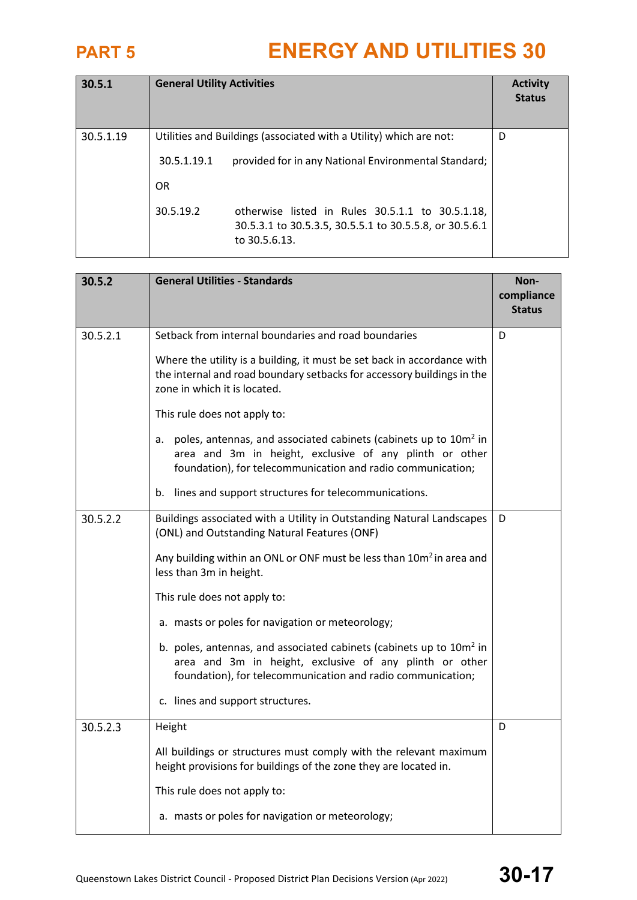| 30.5.1    | <b>General Utility Activities</b> |                                                                                                                              | <b>Activity</b><br><b>Status</b> |
|-----------|-----------------------------------|------------------------------------------------------------------------------------------------------------------------------|----------------------------------|
| 30.5.1.19 | 30.5.1.19.1                       | Utilities and Buildings (associated with a Utility) which are not:<br>provided for in any National Environmental Standard;   | D                                |
|           | <b>OR</b>                         |                                                                                                                              |                                  |
|           | 30.5.19.2                         | otherwise listed in Rules 30.5.1.1 to 30.5.1.18,<br>30.5.3.1 to 30.5.3.5, 30.5.5.1 to 30.5.5.8, or 30.5.6.1<br>to 30.5.6.13. |                                  |

| 30.5.2   | <b>General Utilities - Standards</b>                                                                                                                                                               | Non-<br>compliance<br><b>Status</b> |
|----------|----------------------------------------------------------------------------------------------------------------------------------------------------------------------------------------------------|-------------------------------------|
| 30.5.2.1 | Setback from internal boundaries and road boundaries                                                                                                                                               | D                                   |
|          | Where the utility is a building, it must be set back in accordance with<br>the internal and road boundary setbacks for accessory buildings in the<br>zone in which it is located.                  |                                     |
|          | This rule does not apply to:                                                                                                                                                                       |                                     |
|          | poles, antennas, and associated cabinets (cabinets up to $10m²$ in<br>a.<br>area and 3m in height, exclusive of any plinth or other<br>foundation), for telecommunication and radio communication; |                                     |
|          | lines and support structures for telecommunications.<br>b.                                                                                                                                         |                                     |
| 30.5.2.2 | Buildings associated with a Utility in Outstanding Natural Landscapes<br>(ONL) and Outstanding Natural Features (ONF)                                                                              | D                                   |
|          | Any building within an ONL or ONF must be less than 10m <sup>2</sup> in area and<br>less than 3m in height.                                                                                        |                                     |
|          | This rule does not apply to:                                                                                                                                                                       |                                     |
|          | a. masts or poles for navigation or meteorology;                                                                                                                                                   |                                     |
|          | b. poles, antennas, and associated cabinets (cabinets up to $10m^2$ in<br>area and 3m in height, exclusive of any plinth or other<br>foundation), for telecommunication and radio communication;   |                                     |
|          | c. lines and support structures.                                                                                                                                                                   |                                     |
| 30.5.2.3 | Height                                                                                                                                                                                             | D                                   |
|          | All buildings or structures must comply with the relevant maximum<br>height provisions for buildings of the zone they are located in.                                                              |                                     |
|          | This rule does not apply to:                                                                                                                                                                       |                                     |
|          | a. masts or poles for navigation or meteorology;                                                                                                                                                   |                                     |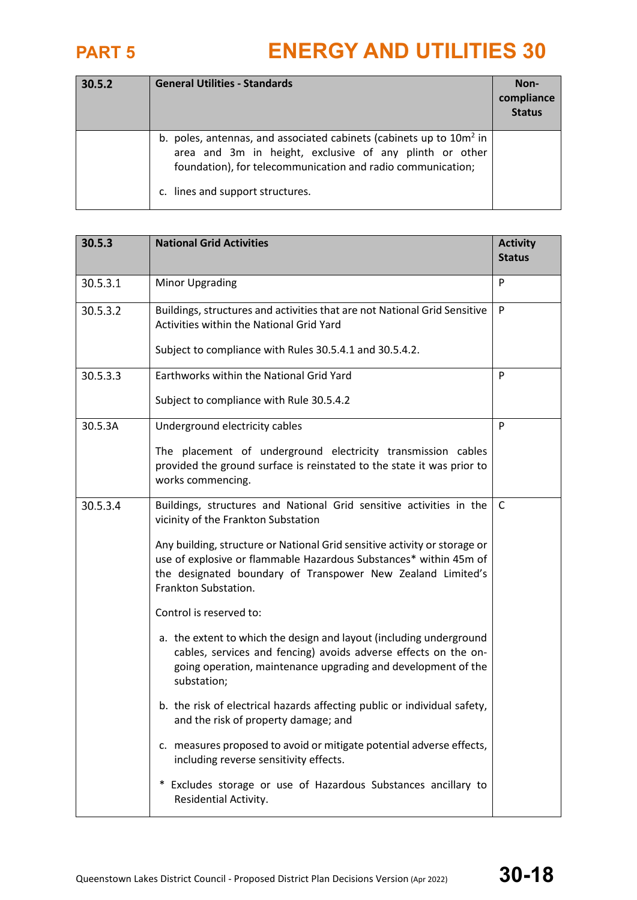| 30.5.2 | <b>General Utilities - Standards</b>                                                                                                                                                             | Non-<br>compliance<br><b>Status</b> |
|--------|--------------------------------------------------------------------------------------------------------------------------------------------------------------------------------------------------|-------------------------------------|
|        | b. poles, antennas, and associated cabinets (cabinets up to $10m^2$ in<br>area and 3m in height, exclusive of any plinth or other<br>foundation), for telecommunication and radio communication; |                                     |
|        | c. lines and support structures.                                                                                                                                                                 |                                     |

| 30.5.3   | <b>National Grid Activities</b>                                                                                                                                                                                                       | <b>Activity</b><br><b>Status</b> |
|----------|---------------------------------------------------------------------------------------------------------------------------------------------------------------------------------------------------------------------------------------|----------------------------------|
| 30.5.3.1 | <b>Minor Upgrading</b>                                                                                                                                                                                                                | P                                |
| 30.5.3.2 | Buildings, structures and activities that are not National Grid Sensitive<br>Activities within the National Grid Yard                                                                                                                 | P                                |
|          | Subject to compliance with Rules 30.5.4.1 and 30.5.4.2.                                                                                                                                                                               |                                  |
| 30.5.3.3 | Earthworks within the National Grid Yard                                                                                                                                                                                              | P                                |
|          | Subject to compliance with Rule 30.5.4.2                                                                                                                                                                                              |                                  |
| 30.5.3A  | Underground electricity cables                                                                                                                                                                                                        | P                                |
|          | The placement of underground electricity transmission cables<br>provided the ground surface is reinstated to the state it was prior to<br>works commencing.                                                                           |                                  |
| 30.5.3.4 | Buildings, structures and National Grid sensitive activities in the<br>vicinity of the Frankton Substation                                                                                                                            | $\mathsf{C}$                     |
|          | Any building, structure or National Grid sensitive activity or storage or<br>use of explosive or flammable Hazardous Substances* within 45m of<br>the designated boundary of Transpower New Zealand Limited's<br>Frankton Substation. |                                  |
|          | Control is reserved to:                                                                                                                                                                                                               |                                  |
|          | a. the extent to which the design and layout (including underground<br>cables, services and fencing) avoids adverse effects on the on-<br>going operation, maintenance upgrading and development of the<br>substation;                |                                  |
|          | b. the risk of electrical hazards affecting public or individual safety,<br>and the risk of property damage; and                                                                                                                      |                                  |
|          | c. measures proposed to avoid or mitigate potential adverse effects,<br>including reverse sensitivity effects.                                                                                                                        |                                  |
|          | Excludes storage or use of Hazardous Substances ancillary to<br>∗<br>Residential Activity.                                                                                                                                            |                                  |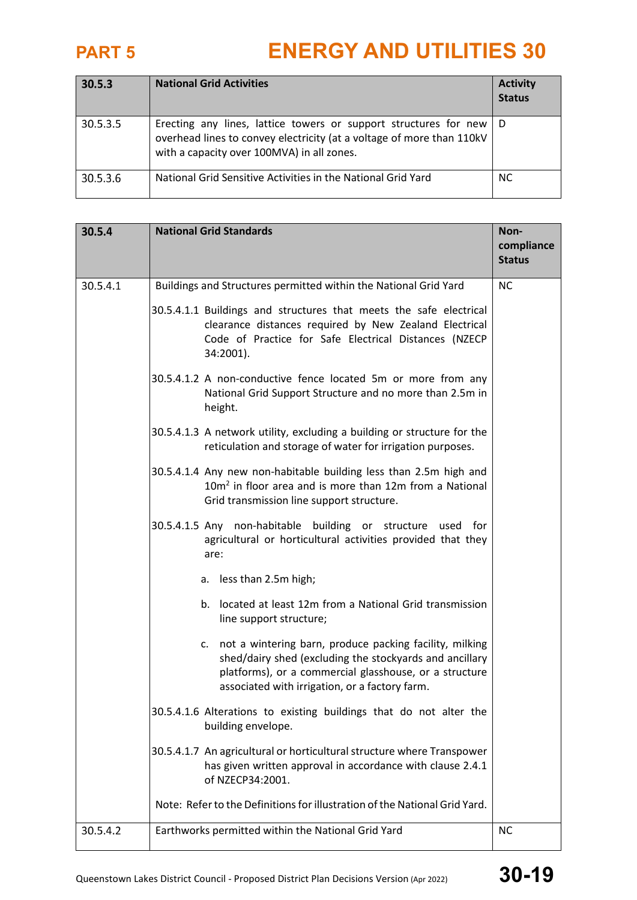| 30.5.3   | <b>National Grid Activities</b>                                                                                                                                                         | <b>Activity</b><br><b>Status</b> |
|----------|-----------------------------------------------------------------------------------------------------------------------------------------------------------------------------------------|----------------------------------|
| 30.5.3.5 | Erecting any lines, lattice towers or support structures for new<br>overhead lines to convey electricity (at a voltage of more than 110kV<br>with a capacity over 100MVA) in all zones. | D                                |
| 30.5.3.6 | National Grid Sensitive Activities in the National Grid Yard                                                                                                                            | <b>NC</b>                        |

| 30.5.4   | <b>National Grid Standards</b>                                                                                                                                                                                                    | Non-<br>compliance<br><b>Status</b> |
|----------|-----------------------------------------------------------------------------------------------------------------------------------------------------------------------------------------------------------------------------------|-------------------------------------|
| 30.5.4.1 | Buildings and Structures permitted within the National Grid Yard                                                                                                                                                                  | <b>NC</b>                           |
|          | 30.5.4.1.1 Buildings and structures that meets the safe electrical<br>clearance distances required by New Zealand Electrical<br>Code of Practice for Safe Electrical Distances (NZECP<br>34:2001).                                |                                     |
|          | 30.5.4.1.2 A non-conductive fence located 5m or more from any<br>National Grid Support Structure and no more than 2.5m in<br>height.                                                                                              |                                     |
|          | 30.5.4.1.3 A network utility, excluding a building or structure for the<br>reticulation and storage of water for irrigation purposes.                                                                                             |                                     |
|          | 30.5.4.1.4 Any new non-habitable building less than 2.5m high and<br>10m <sup>2</sup> in floor area and is more than 12m from a National<br>Grid transmission line support structure.                                             |                                     |
|          | 30.5.4.1.5 Any non-habitable building or structure used for<br>agricultural or horticultural activities provided that they<br>are:                                                                                                |                                     |
|          | less than 2.5m high;<br>а.                                                                                                                                                                                                        |                                     |
|          | located at least 12m from a National Grid transmission<br>b.<br>line support structure;                                                                                                                                           |                                     |
|          | c. not a wintering barn, produce packing facility, milking<br>shed/dairy shed (excluding the stockyards and ancillary<br>platforms), or a commercial glasshouse, or a structure<br>associated with irrigation, or a factory farm. |                                     |
|          | 30.5.4.1.6 Alterations to existing buildings that do not alter the<br>building envelope.                                                                                                                                          |                                     |
|          | 30.5.4.1.7 An agricultural or horticultural structure where Transpower<br>has given written approval in accordance with clause 2.4.1<br>of NZECP34:2001.                                                                          |                                     |
|          | Note: Refer to the Definitions for illustration of the National Grid Yard.                                                                                                                                                        |                                     |
| 30.5.4.2 | Earthworks permitted within the National Grid Yard                                                                                                                                                                                | <b>NC</b>                           |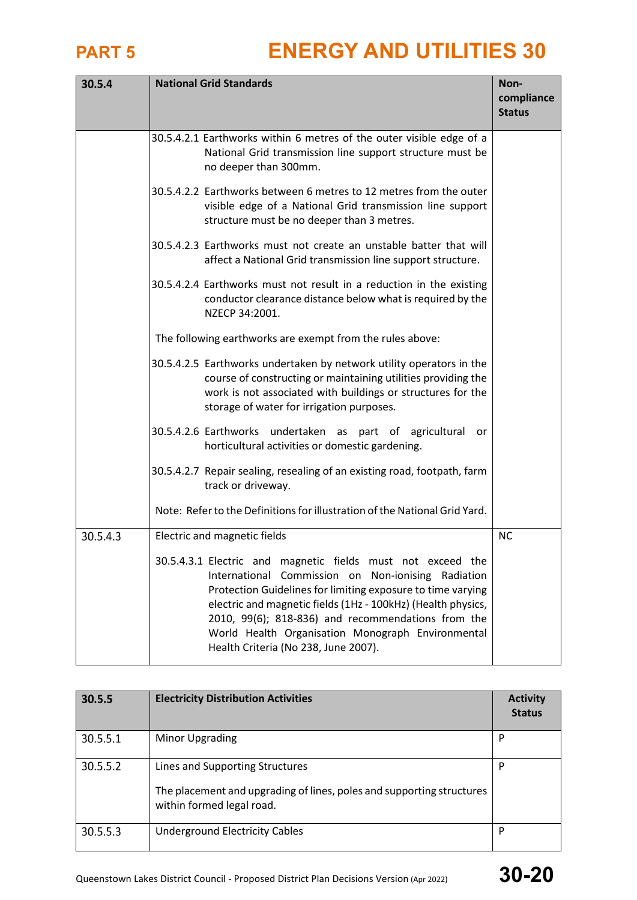| 30.5.4   | <b>National Grid Standards</b>                                                                                                                                                                                                                                                                                                                                                                      | Non-                        |
|----------|-----------------------------------------------------------------------------------------------------------------------------------------------------------------------------------------------------------------------------------------------------------------------------------------------------------------------------------------------------------------------------------------------------|-----------------------------|
|          |                                                                                                                                                                                                                                                                                                                                                                                                     | compliance<br><b>Status</b> |
|          |                                                                                                                                                                                                                                                                                                                                                                                                     |                             |
|          | 30.5.4.2.1 Earthworks within 6 metres of the outer visible edge of a<br>National Grid transmission line support structure must be<br>no deeper than 300mm.                                                                                                                                                                                                                                          |                             |
|          | 30.5.4.2.2 Earthworks between 6 metres to 12 metres from the outer<br>visible edge of a National Grid transmission line support<br>structure must be no deeper than 3 metres.                                                                                                                                                                                                                       |                             |
|          | 30.5.4.2.3 Earthworks must not create an unstable batter that will<br>affect a National Grid transmission line support structure.                                                                                                                                                                                                                                                                   |                             |
|          | 30.5.4.2.4 Earthworks must not result in a reduction in the existing<br>conductor clearance distance below what is required by the<br>NZECP 34:2001.                                                                                                                                                                                                                                                |                             |
|          | The following earthworks are exempt from the rules above:                                                                                                                                                                                                                                                                                                                                           |                             |
|          | 30.5.4.2.5 Earthworks undertaken by network utility operators in the<br>course of constructing or maintaining utilities providing the<br>work is not associated with buildings or structures for the<br>storage of water for irrigation purposes.                                                                                                                                                   |                             |
|          | 30.5.4.2.6 Earthworks undertaken<br>part of agricultural<br>as<br>or<br>horticultural activities or domestic gardening.                                                                                                                                                                                                                                                                             |                             |
|          | 30.5.4.2.7 Repair sealing, resealing of an existing road, footpath, farm<br>track or driveway.                                                                                                                                                                                                                                                                                                      |                             |
|          | Note: Refer to the Definitions for illustration of the National Grid Yard.                                                                                                                                                                                                                                                                                                                          |                             |
| 30.5.4.3 | Electric and magnetic fields                                                                                                                                                                                                                                                                                                                                                                        | <b>NC</b>                   |
|          | 30.5.4.3.1 Electric and magnetic fields must not exceed the<br>International Commission on Non-ionising Radiation<br>Protection Guidelines for limiting exposure to time varying<br>electric and magnetic fields (1Hz - 100kHz) (Health physics,<br>2010, 99(6); 818-836) and recommendations from the<br>World Health Organisation Monograph Environmental<br>Health Criteria (No 238, June 2007). |                             |

| 30.5.5   | <b>Electricity Distribution Activities</b>                                                                                            | <b>Activity</b><br><b>Status</b> |
|----------|---------------------------------------------------------------------------------------------------------------------------------------|----------------------------------|
| 30.5.5.1 | Minor Upgrading                                                                                                                       | P                                |
| 30.5.5.2 | Lines and Supporting Structures<br>The placement and upgrading of lines, poles and supporting structures<br>within formed legal road. | P                                |
| 30.5.5.3 | <b>Underground Electricity Cables</b>                                                                                                 | P                                |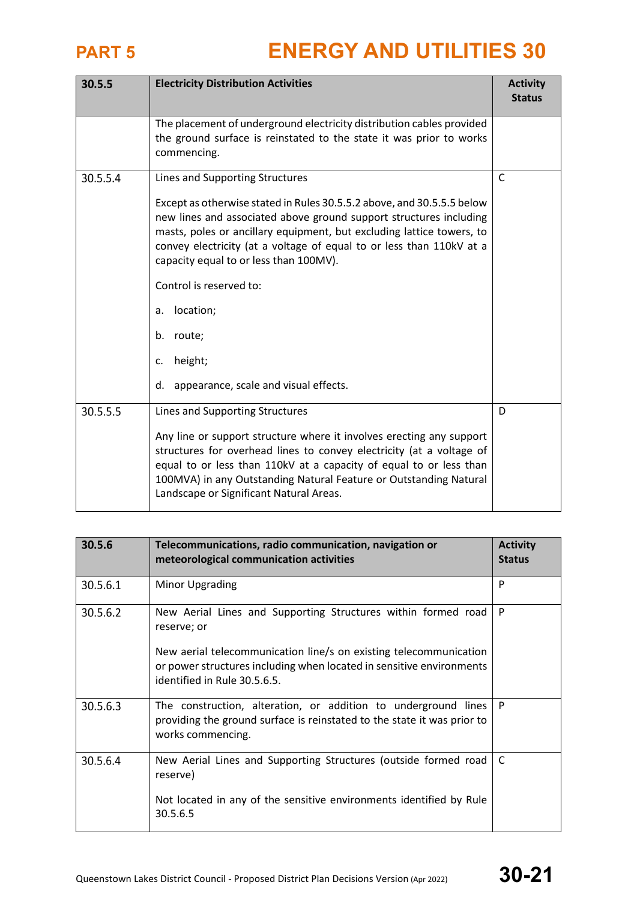| 30.5.5   | <b>Electricity Distribution Activities</b>                                                                                                                                                                                                                                                                                                                                 | <b>Activity</b><br><b>Status</b> |
|----------|----------------------------------------------------------------------------------------------------------------------------------------------------------------------------------------------------------------------------------------------------------------------------------------------------------------------------------------------------------------------------|----------------------------------|
|          | The placement of underground electricity distribution cables provided<br>the ground surface is reinstated to the state it was prior to works<br>commencing.                                                                                                                                                                                                                |                                  |
| 30.5.5.4 | Lines and Supporting Structures<br>Except as otherwise stated in Rules 30.5.5.2 above, and 30.5.5.5 below<br>new lines and associated above ground support structures including<br>masts, poles or ancillary equipment, but excluding lattice towers, to<br>convey electricity (at a voltage of equal to or less than 110kV at a<br>capacity equal to or less than 100MV). | $\mathsf{C}$                     |
|          | Control is reserved to:<br>location;<br>a.<br>route;<br>b.<br>height;<br>c.<br>appearance, scale and visual effects.<br>d.                                                                                                                                                                                                                                                 |                                  |
| 30.5.5.5 | Lines and Supporting Structures<br>Any line or support structure where it involves erecting any support<br>structures for overhead lines to convey electricity (at a voltage of<br>equal to or less than 110kV at a capacity of equal to or less than<br>100MVA) in any Outstanding Natural Feature or Outstanding Natural<br>Landscape or Significant Natural Areas.      | D                                |

| 30.5.6   | Telecommunications, radio communication, navigation or<br>meteorological communication activities                                                                                                                                                         | <b>Activity</b><br><b>Status</b> |
|----------|-----------------------------------------------------------------------------------------------------------------------------------------------------------------------------------------------------------------------------------------------------------|----------------------------------|
| 30.5.6.1 | <b>Minor Upgrading</b>                                                                                                                                                                                                                                    | P                                |
| 30.5.6.2 | New Aerial Lines and Supporting Structures within formed road<br>reserve; or<br>New aerial telecommunication line/s on existing telecommunication<br>or power structures including when located in sensitive environments<br>identified in Rule 30.5.6.5. | P                                |
| 30.5.6.3 | The construction, alteration, or addition to underground lines<br>providing the ground surface is reinstated to the state it was prior to<br>works commencing.                                                                                            | P                                |
| 30.5.6.4 | New Aerial Lines and Supporting Structures (outside formed road<br>reserve)<br>Not located in any of the sensitive environments identified by Rule<br>30.5.6.5                                                                                            | $\mathsf{C}$                     |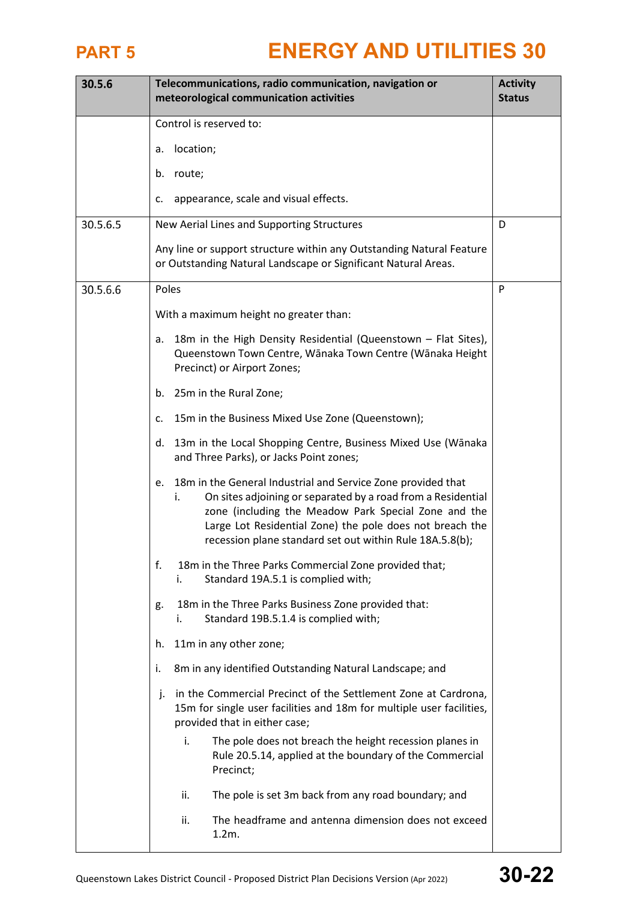| 30.5.6   | Telecommunications, radio communication, navigation or<br>meteorological communication activities                                                                                                                                                                                                                        | <b>Activity</b><br><b>Status</b> |
|----------|--------------------------------------------------------------------------------------------------------------------------------------------------------------------------------------------------------------------------------------------------------------------------------------------------------------------------|----------------------------------|
|          | Control is reserved to:                                                                                                                                                                                                                                                                                                  |                                  |
|          | location;<br>a.                                                                                                                                                                                                                                                                                                          |                                  |
|          | route;<br>b.                                                                                                                                                                                                                                                                                                             |                                  |
|          | appearance, scale and visual effects.<br>c.                                                                                                                                                                                                                                                                              |                                  |
| 30.5.6.5 | New Aerial Lines and Supporting Structures                                                                                                                                                                                                                                                                               | D                                |
|          | Any line or support structure within any Outstanding Natural Feature<br>or Outstanding Natural Landscape or Significant Natural Areas.                                                                                                                                                                                   |                                  |
| 30.5.6.6 | Poles                                                                                                                                                                                                                                                                                                                    | P                                |
|          | With a maximum height no greater than:                                                                                                                                                                                                                                                                                   |                                  |
|          | 18m in the High Density Residential (Queenstown - Flat Sites),<br>а.<br>Queenstown Town Centre, Wānaka Town Centre (Wānaka Height<br>Precinct) or Airport Zones;                                                                                                                                                         |                                  |
|          | 25m in the Rural Zone;<br>b.                                                                                                                                                                                                                                                                                             |                                  |
|          | 15m in the Business Mixed Use Zone (Queenstown);<br>c.                                                                                                                                                                                                                                                                   |                                  |
|          | 13m in the Local Shopping Centre, Business Mixed Use (Wānaka<br>d.<br>and Three Parks), or Jacks Point zones;                                                                                                                                                                                                            |                                  |
|          | 18m in the General Industrial and Service Zone provided that<br>e.<br>On sites adjoining or separated by a road from a Residential<br>i.<br>zone (including the Meadow Park Special Zone and the<br>Large Lot Residential Zone) the pole does not breach the<br>recession plane standard set out within Rule 18A.5.8(b); |                                  |
|          | f.<br>18m in the Three Parks Commercial Zone provided that;<br>Standard 19A.5.1 is complied with;<br>i.                                                                                                                                                                                                                  |                                  |
|          | 18m in the Three Parks Business Zone provided that:<br>g.<br>Standard 19B.5.1.4 is complied with;<br>i.                                                                                                                                                                                                                  |                                  |
|          | 11m in any other zone;<br>h.                                                                                                                                                                                                                                                                                             |                                  |
|          | 8m in any identified Outstanding Natural Landscape; and<br>i.                                                                                                                                                                                                                                                            |                                  |
|          | in the Commercial Precinct of the Settlement Zone at Cardrona,<br>j.<br>15m for single user facilities and 18m for multiple user facilities,<br>provided that in either case;                                                                                                                                            |                                  |
|          | i.<br>The pole does not breach the height recession planes in<br>Rule 20.5.14, applied at the boundary of the Commercial<br>Precinct;                                                                                                                                                                                    |                                  |
|          | The pole is set 3m back from any road boundary; and<br>ii.                                                                                                                                                                                                                                                               |                                  |
|          | The headframe and antenna dimension does not exceed<br>ii.<br>1.2m.                                                                                                                                                                                                                                                      |                                  |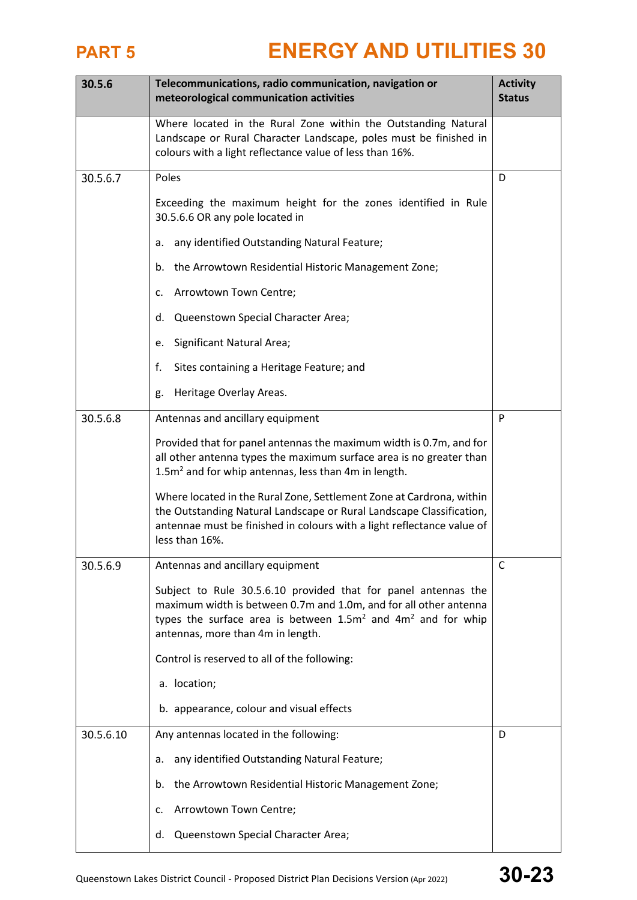| 30.5.6    | Telecommunications, radio communication, navigation or<br>meteorological communication activities                                                                                                                                              | <b>Activity</b><br><b>Status</b> |
|-----------|------------------------------------------------------------------------------------------------------------------------------------------------------------------------------------------------------------------------------------------------|----------------------------------|
|           | Where located in the Rural Zone within the Outstanding Natural<br>Landscape or Rural Character Landscape, poles must be finished in<br>colours with a light reflectance value of less than 16%.                                                |                                  |
| 30.5.6.7  | Poles                                                                                                                                                                                                                                          | D                                |
|           | Exceeding the maximum height for the zones identified in Rule<br>30.5.6.6 OR any pole located in                                                                                                                                               |                                  |
|           | any identified Outstanding Natural Feature;<br>a.                                                                                                                                                                                              |                                  |
|           | the Arrowtown Residential Historic Management Zone;<br>b.                                                                                                                                                                                      |                                  |
|           | Arrowtown Town Centre;<br>c.                                                                                                                                                                                                                   |                                  |
|           | Queenstown Special Character Area;<br>d.                                                                                                                                                                                                       |                                  |
|           | Significant Natural Area;<br>е.                                                                                                                                                                                                                |                                  |
|           | f.<br>Sites containing a Heritage Feature; and                                                                                                                                                                                                 |                                  |
|           | Heritage Overlay Areas.<br>g.                                                                                                                                                                                                                  |                                  |
| 30.5.6.8  | Antennas and ancillary equipment                                                                                                                                                                                                               | P                                |
|           | Provided that for panel antennas the maximum width is 0.7m, and for<br>all other antenna types the maximum surface area is no greater than<br>1.5m <sup>2</sup> and for whip antennas, less than 4m in length.                                 |                                  |
|           | Where located in the Rural Zone, Settlement Zone at Cardrona, within<br>the Outstanding Natural Landscape or Rural Landscape Classification,<br>antennae must be finished in colours with a light reflectance value of<br>less than 16%.       |                                  |
| 30.5.6.9  | Antennas and ancillary equipment                                                                                                                                                                                                               | C                                |
|           | Subject to Rule 30.5.6.10 provided that for panel antennas the<br>maximum width is between 0.7m and 1.0m, and for all other antenna<br>types the surface area is between $1.5m^2$ and $4m^2$ and for whip<br>antennas, more than 4m in length. |                                  |
|           | Control is reserved to all of the following:                                                                                                                                                                                                   |                                  |
|           | a. location;                                                                                                                                                                                                                                   |                                  |
|           | b. appearance, colour and visual effects                                                                                                                                                                                                       |                                  |
| 30.5.6.10 | Any antennas located in the following:                                                                                                                                                                                                         | D                                |
|           | any identified Outstanding Natural Feature;<br>a.                                                                                                                                                                                              |                                  |
|           | the Arrowtown Residential Historic Management Zone;<br>b.                                                                                                                                                                                      |                                  |
|           | Arrowtown Town Centre;<br>c.                                                                                                                                                                                                                   |                                  |
|           | Queenstown Special Character Area;<br>d.                                                                                                                                                                                                       |                                  |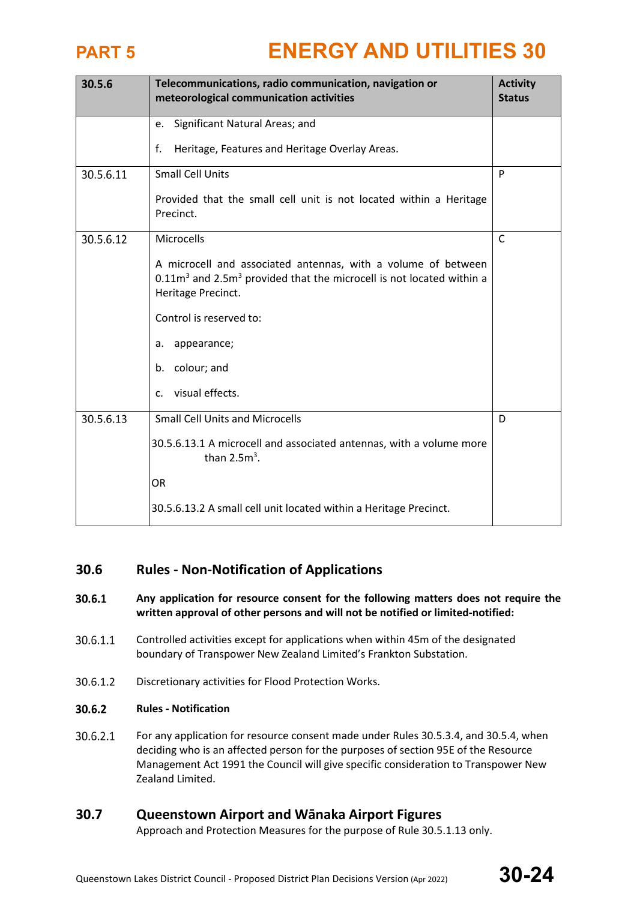| 30.5.6    | Telecommunications, radio communication, navigation or<br>meteorological communication activities                                                                                   | <b>Activity</b><br><b>Status</b> |
|-----------|-------------------------------------------------------------------------------------------------------------------------------------------------------------------------------------|----------------------------------|
|           | Significant Natural Areas; and<br>e.                                                                                                                                                |                                  |
|           | f.<br>Heritage, Features and Heritage Overlay Areas.                                                                                                                                |                                  |
| 30.5.6.11 | <b>Small Cell Units</b>                                                                                                                                                             | P                                |
|           | Provided that the small cell unit is not located within a Heritage<br>Precinct.                                                                                                     |                                  |
| 30.5.6.12 | Microcells                                                                                                                                                                          | C                                |
|           | A microcell and associated antennas, with a volume of between<br>0.11m <sup>3</sup> and 2.5m <sup>3</sup> provided that the microcell is not located within a<br>Heritage Precinct. |                                  |
|           | Control is reserved to:                                                                                                                                                             |                                  |
|           | appearance;<br>a.                                                                                                                                                                   |                                  |
|           | colour; and<br>b.                                                                                                                                                                   |                                  |
|           | visual effects.<br>$\mathsf{C}$ .                                                                                                                                                   |                                  |
| 30.5.6.13 | <b>Small Cell Units and Microcells</b>                                                                                                                                              | D                                |
|           | 30.5.6.13.1 A microcell and associated antennas, with a volume more<br>than $2.5m3$ .                                                                                               |                                  |
|           | <b>OR</b>                                                                                                                                                                           |                                  |
|           | 30.5.6.13.2 A small cell unit located within a Heritage Precinct.                                                                                                                   |                                  |

## **30.6 Rules - Non-Notification of Applications**

### 30.6.1 **Any application for resource consent for the following matters does not require the written approval of other persons and will not be notified or limited-notified:**

- 30.6.1.1 Controlled activities except for applications when within 45m of the designated boundary of Transpower New Zealand Limited's Frankton Substation.
- 30.6.1.2 Discretionary activities for Flood Protection Works.

### $30.6.2$ **Rules - Notification**

 $30.6.2.1$ For any application for resource consent made under Rules 30.5.3.4, and 30.5.4, when deciding who is an affected person for the purposes of section 95E of the Resource Management Act 1991 the Council will give specific consideration to Transpower New Zealand Limited.

## **30.7 Queenstown Airport and Wānaka Airport Figures**

Approach and Protection Measures for the purpose of Rule 30.5.1.13 only.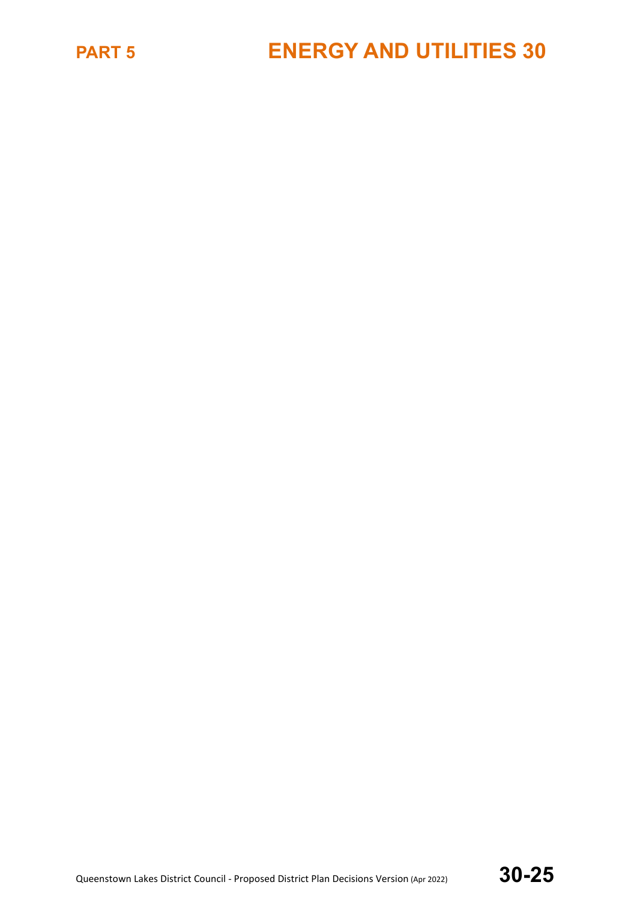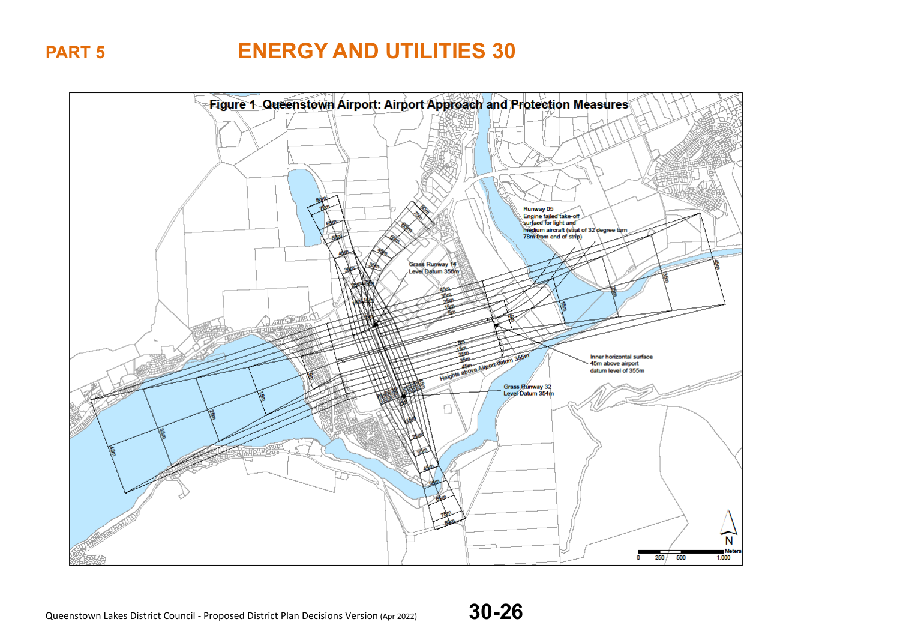